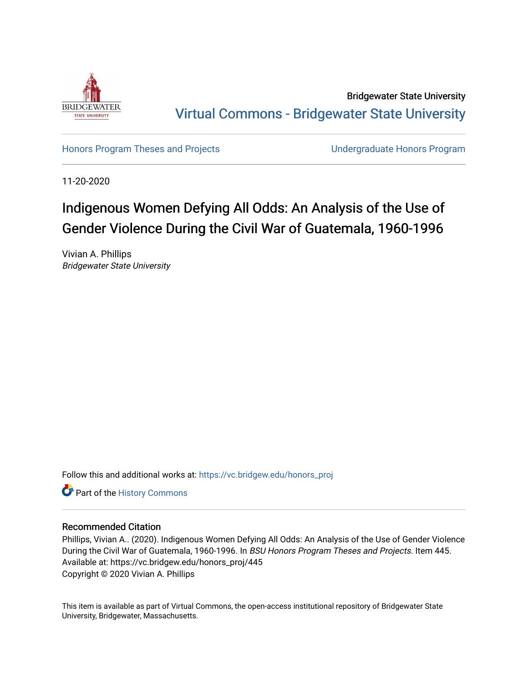

Bridgewater State University [Virtual Commons - Bridgewater State University](https://vc.bridgew.edu/) 

[Honors Program Theses and Projects](https://vc.bridgew.edu/honors_proj) [Undergraduate Honors Program](https://vc.bridgew.edu/honors) 

11-20-2020

# Indigenous Women Defying All Odds: An Analysis of the Use of Gender Violence During the Civil War of Guatemala, 1960-1996

Vivian A. Phillips Bridgewater State University

Follow this and additional works at: [https://vc.bridgew.edu/honors\\_proj](https://vc.bridgew.edu/honors_proj?utm_source=vc.bridgew.edu%2Fhonors_proj%2F445&utm_medium=PDF&utm_campaign=PDFCoverPages)

Part of the [History Commons](http://network.bepress.com/hgg/discipline/489?utm_source=vc.bridgew.edu%2Fhonors_proj%2F445&utm_medium=PDF&utm_campaign=PDFCoverPages) 

## Recommended Citation

Phillips, Vivian A.. (2020). Indigenous Women Defying All Odds: An Analysis of the Use of Gender Violence During the Civil War of Guatemala, 1960-1996. In BSU Honors Program Theses and Projects. Item 445. Available at: https://vc.bridgew.edu/honors\_proj/445 Copyright © 2020 Vivian A. Phillips

This item is available as part of Virtual Commons, the open-access institutional repository of Bridgewater State University, Bridgewater, Massachusetts.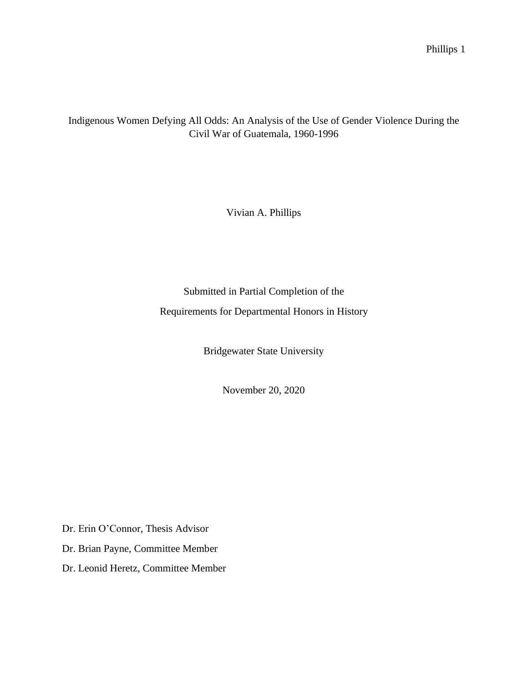Indigenous Women Defying All Odds: An Analysis of the Use of Gender Violence During the Civil War of Guatemala, 1960-1996

Vivian A. Phillips

Submitted in Partial Completion of the Requirements for Departmental Honors in History

Bridgewater State University

November 20, 2020

Dr. Erin O'Connor, Thesis Advisor

Dr. Brian Payne, Committee Member

Dr. Leonid Heretz, Committee Member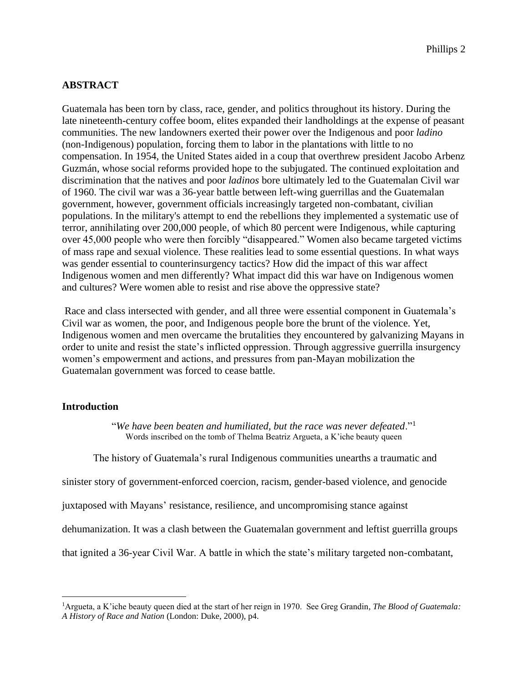## **ABSTRACT**

Guatemala has been torn by class, race, gender, and politics throughout its history. During the late nineteenth-century coffee boom, elites expanded their landholdings at the expense of peasant communities. The new landowners exerted their power over the Indigenous and poor *ladino*  (non-Indigenous) population, forcing them to labor in the plantations with little to no compensation. In 1954, the United States aided in a coup that overthrew president Jacobo Arbenz Guzmán, whose social reforms provided hope to the subjugated. The continued exploitation and discrimination that the natives and poor *ladinos* bore ultimately led to the Guatemalan Civil war of 1960. The civil war was a 36-year battle between left-wing guerrillas and the Guatemalan government, however, government officials increasingly targeted non-combatant, civilian populations. In the military's attempt to end the rebellions they implemented a systematic use of terror, annihilating over 200,000 people, of which 80 percent were Indigenous, while capturing over 45,000 people who were then forcibly "disappeared." Women also became targeted victims of mass rape and sexual violence. These realities lead to some essential questions. In what ways was gender essential to counterinsurgency tactics? How did the impact of this war affect Indigenous women and men differently? What impact did this war have on Indigenous women and cultures? Were women able to resist and rise above the oppressive state?

Race and class intersected with gender, and all three were essential component in Guatemala's Civil war as women, the poor, and Indigenous people bore the brunt of the violence. Yet, Indigenous women and men overcame the brutalities they encountered by galvanizing Mayans in order to unite and resist the state's inflicted oppression. Through aggressive guerrilla insurgency women's empowerment and actions, and pressures from pan-Mayan mobilization the Guatemalan government was forced to cease battle.

## **Introduction**

"*We have been beaten and humiliated, but the race was never defeated*."<sup>1</sup> Words inscribed on the tomb of Thelma Beatriz Argueta, a K'iche beauty queen

The history of Guatemala's rural Indigenous communities unearths a traumatic and

sinister story of government-enforced coercion, racism, gender-based violence, and genocide

juxtaposed with Mayans' resistance, resilience, and uncompromising stance against

dehumanization. It was a clash between the Guatemalan government and leftist guerrilla groups

that ignited a 36-year Civil War. A battle in which the state's military targeted non-combatant,

<sup>1</sup>Argueta, a K'iche beauty queen died at the start of her reign in 1970. See Greg Grandin*, The Blood of Guatemala: A History of Race and Nation* (London: Duke, 2000), p4.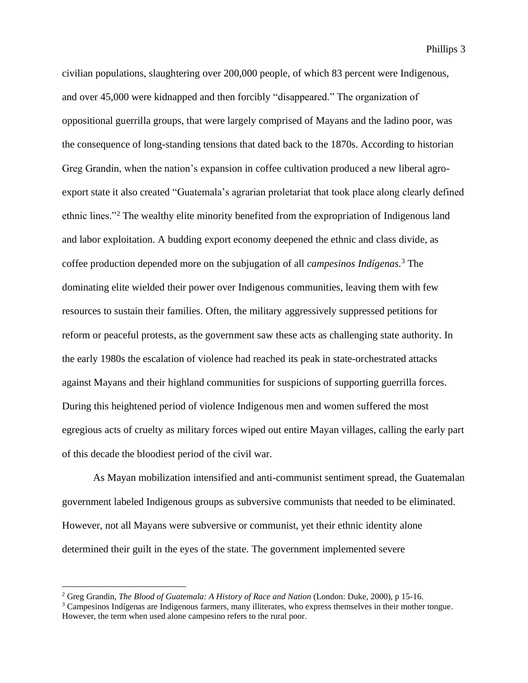civilian populations, slaughtering over 200,000 people, of which 83 percent were Indigenous, and over 45,000 were kidnapped and then forcibly "disappeared." The organization of oppositional guerrilla groups, that were largely comprised of Mayans and the ladino poor, was the consequence of long-standing tensions that dated back to the 1870s. According to historian Greg Grandin, when the nation's expansion in coffee cultivation produced a new liberal agroexport state it also created "Guatemala's agrarian proletariat that took place along clearly defined ethnic lines."<sup>2</sup> The wealthy elite minority benefited from the expropriation of Indigenous land and labor exploitation. A budding export economy deepened the ethnic and class divide, as coffee production depended more on the subjugation of all *campesinos Indígenas.*<sup>3</sup> The dominating elite wielded their power over Indigenous communities, leaving them with few resources to sustain their families. Often, the military aggressively suppressed petitions for reform or peaceful protests, as the government saw these acts as challenging state authority. In the early 1980s the escalation of violence had reached its peak in state-orchestrated attacks against Mayans and their highland communities for suspicions of supporting guerrilla forces. During this heightened period of violence Indigenous men and women suffered the most egregious acts of cruelty as military forces wiped out entire Mayan villages, calling the early part of this decade the bloodiest period of the civil war.

As Mayan mobilization intensified and anti-communist sentiment spread, the Guatemalan government labeled Indigenous groups as subversive communists that needed to be eliminated. However, not all Mayans were subversive or communist, yet their ethnic identity alone determined their guilt in the eyes of the state. The government implemented severe

<sup>&</sup>lt;sup>2</sup> Greg Grandin, *The Blood of Guatemala: A History of Race and Nation* (London: Duke, 2000), p 15-16.

<sup>3</sup> Campesinos Indígenas are Indigenous farmers, many illiterates, who express themselves in their mother tongue. However, the term when used alone campesino refers to the rural poor.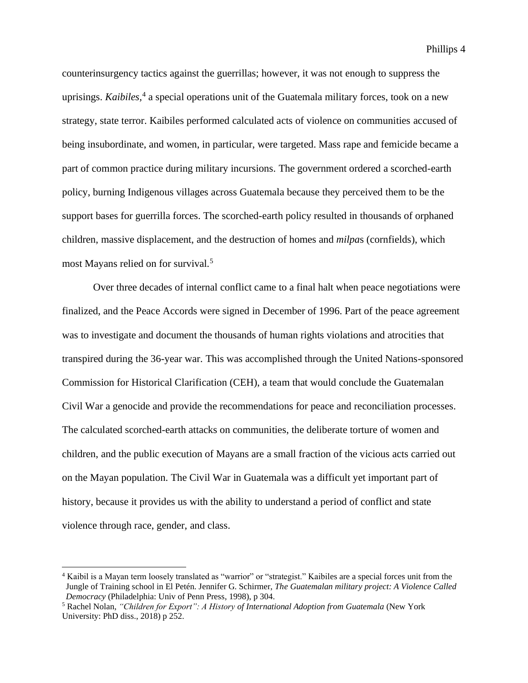Phillips 4

counterinsurgency tactics against the guerrillas; however, it was not enough to suppress the uprisings. *Kaibiles,* 4 a special operations unit of the Guatemala military forces, took on a new strategy, state terror. Kaibiles performed calculated acts of violence on communities accused of being insubordinate, and women, in particular, were targeted. Mass rape and femicide became a part of common practice during military incursions. The government ordered a scorched-earth policy, burning Indigenous villages across Guatemala because they perceived them to be the support bases for guerrilla forces. The scorched-earth policy resulted in thousands of orphaned children, massive displacement, and the destruction of homes and *milpa*s (cornfields), which most Mayans relied on for survival.<sup>5</sup>

Over three decades of internal conflict came to a final halt when peace negotiations were finalized, and the Peace Accords were signed in December of 1996. Part of the peace agreement was to investigate and document the thousands of human rights violations and atrocities that transpired during the 36-year war. This was accomplished through the United Nations-sponsored Commission for Historical Clarification (CEH), a team that would conclude the Guatemalan Civil War a genocide and provide the recommendations for peace and reconciliation processes. The calculated scorched-earth attacks on communities, the deliberate torture of women and children, and the public execution of Mayans are a small fraction of the vicious acts carried out on the Mayan population. The Civil War in Guatemala was a difficult yet important part of history, because it provides us with the ability to understand a period of conflict and state violence through race, gender, and class.

<sup>4</sup> Kaibil is a Mayan term loosely translated as "warrior" or "strategist." Kaibiles are a special forces unit from the Jungle of Training school in El Petén. Jennifer G. Schirmer, *The Guatemalan military project: A Violence Called Democracy* (Philadelphia: Univ of Penn Press, 1998), p 304.

<sup>5</sup> Rachel Nolan, *"Children for Export": A History of International Adoption from Guatemala* (New York University: PhD diss., 2018) p 252.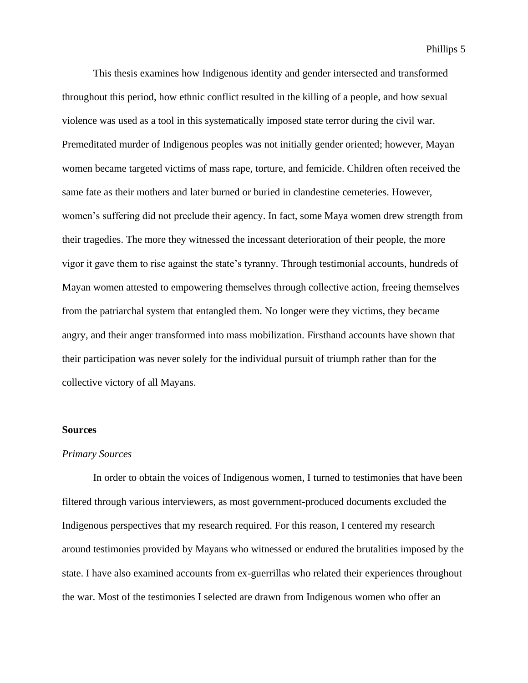This thesis examines how Indigenous identity and gender intersected and transformed throughout this period, how ethnic conflict resulted in the killing of a people, and how sexual violence was used as a tool in this systematically imposed state terror during the civil war. Premeditated murder of Indigenous peoples was not initially gender oriented; however, Mayan women became targeted victims of mass rape, torture, and femicide. Children often received the same fate as their mothers and later burned or buried in clandestine cemeteries. However, women's suffering did not preclude their agency. In fact, some Maya women drew strength from their tragedies. The more they witnessed the incessant deterioration of their people, the more vigor it gave them to rise against the state's tyranny. Through testimonial accounts, hundreds of Mayan women attested to empowering themselves through collective action, freeing themselves from the patriarchal system that entangled them. No longer were they victims, they became angry, and their anger transformed into mass mobilization. Firsthand accounts have shown that their participation was never solely for the individual pursuit of triumph rather than for the collective victory of all Mayans.

#### **Sources**

#### *Primary Sources*

In order to obtain the voices of Indigenous women, I turned to testimonies that have been filtered through various interviewers, as most government-produced documents excluded the Indigenous perspectives that my research required. For this reason, I centered my research around testimonies provided by Mayans who witnessed or endured the brutalities imposed by the state. I have also examined accounts from ex-guerrillas who related their experiences throughout the war. Most of the testimonies I selected are drawn from Indigenous women who offer an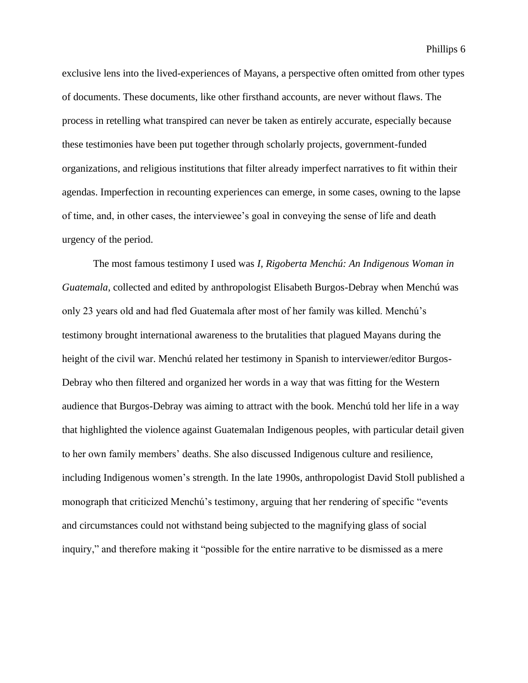exclusive lens into the lived-experiences of Mayans, a perspective often omitted from other types of documents. These documents, like other firsthand accounts, are never without flaws. The process in retelling what transpired can never be taken as entirely accurate, especially because these testimonies have been put together through scholarly projects, government-funded organizations, and religious institutions that filter already imperfect narratives to fit within their agendas. Imperfection in recounting experiences can emerge, in some cases, owning to the lapse of time, and, in other cases, the interviewee's goal in conveying the sense of life and death urgency of the period.

The most famous testimony I used was *I, Rigoberta Menchú: An Indigenous Woman in Guatemala*, collected and edited by anthropologist Elisabeth Burgos-Debray when Menchú was only 23 years old and had fled Guatemala after most of her family was killed. Menchú's testimony brought international awareness to the brutalities that plagued Mayans during the height of the civil war. Menchú related her testimony in Spanish to interviewer/editor Burgos-Debray who then filtered and organized her words in a way that was fitting for the Western audience that Burgos-Debray was aiming to attract with the book. Menchú told her life in a way that highlighted the violence against Guatemalan Indigenous peoples, with particular detail given to her own family members' deaths. She also discussed Indigenous culture and resilience, including Indigenous women's strength. In the late 1990s, anthropologist David Stoll published a monograph that criticized Menchú's testimony, arguing that her rendering of specific "events and circumstances could not withstand being subjected to the magnifying glass of social inquiry," and therefore making it "possible for the entire narrative to be dismissed as a mere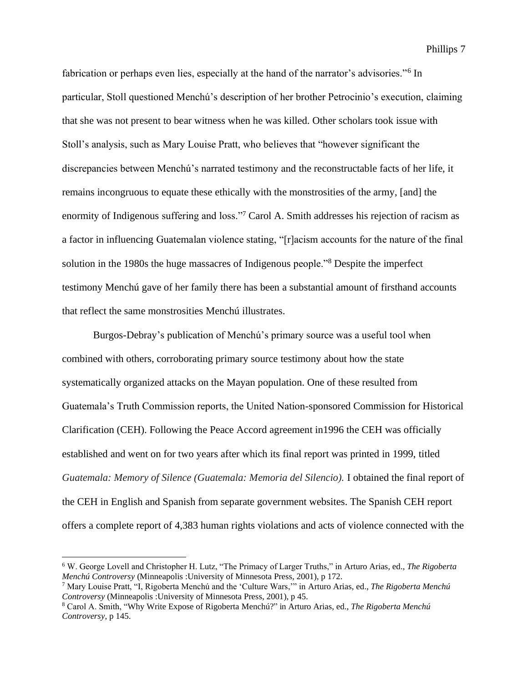Phillips 7

fabrication or perhaps even lies, especially at the hand of the narrator's advisories."<sup>6</sup> In particular, Stoll questioned Menchú's description of her brother Petrocinio's execution, claiming that she was not present to bear witness when he was killed. Other scholars took issue with Stoll's analysis, such as Mary Louise Pratt, who believes that "however significant the discrepancies between Menchú's narrated testimony and the reconstructable facts of her life, it remains incongruous to equate these ethically with the monstrosities of the army, [and] the enormity of Indigenous suffering and loss."<sup>7</sup> Carol A. Smith addresses his rejection of racism as a factor in influencing Guatemalan violence stating, "[r]acism accounts for the nature of the final solution in the 1980s the huge massacres of Indigenous people."<sup>8</sup> Despite the imperfect testimony Menchú gave of her family there has been a substantial amount of firsthand accounts that reflect the same monstrosities Menchú illustrates.

Burgos-Debray's publication of Menchú's primary source was a useful tool when combined with others, corroborating primary source testimony about how the state systematically organized attacks on the Mayan population. One of these resulted from Guatemala's Truth Commission reports, the United Nation-sponsored Commission for Historical Clarification (CEH). Following the Peace Accord agreement in1996 the CEH was officially established and went on for two years after which its final report was printed in 1999, titled *Guatemala: Memory of Silence (Guatemala: Memoria del Silencio).* I obtained the final report of the CEH in English and Spanish from separate government websites. The Spanish CEH report offers a complete report of 4,383 human rights violations and acts of violence connected with the

<sup>6</sup> W. George Lovell and Christopher H. Lutz, "The Primacy of Larger Truths," in Arturo Arias, ed., *The Rigoberta Menchú Controversy* (Minneapolis :University of Minnesota Press, 2001), p 172.

<sup>7</sup> Mary Louise Pratt, "I, Rigoberta Menchú and the 'Culture Wars,'" in Arturo Arias, ed., *The Rigoberta Menchú Controversy* (Minneapolis :University of Minnesota Press, 2001), p 45.

<sup>8</sup> Carol A. Smith, "Why Write Expose of Rigoberta Menchú?" in Arturo Arias, ed., *The Rigoberta Menchú Controversy*, p 145.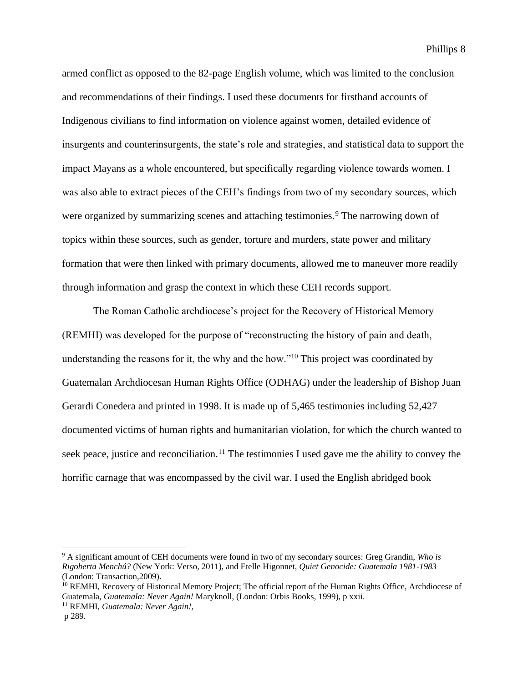armed conflict as opposed to the 82-page English volume, which was limited to the conclusion and recommendations of their findings. I used these documents for firsthand accounts of Indigenous civilians to find information on violence against women, detailed evidence of insurgents and counterinsurgents, the state's role and strategies, and statistical data to support the impact Mayans as a whole encountered, but specifically regarding violence towards women. I was also able to extract pieces of the CEH's findings from two of my secondary sources, which were organized by summarizing scenes and attaching testimonies.<sup>9</sup> The narrowing down of topics within these sources, such as gender, torture and murders, state power and military formation that were then linked with primary documents, allowed me to maneuver more readily through information and grasp the context in which these CEH records support.

The Roman Catholic archdiocese's project for the Recovery of Historical Memory (REMHI) was developed for the purpose of "reconstructing the history of pain and death, understanding the reasons for it, the why and the how."<sup>10</sup> This project was coordinated by Guatemalan Archdiocesan Human Rights Office (ODHAG) under the leadership of Bishop Juan Gerardi Conedera and printed in 1998. It is made up of 5,465 testimonies including 52,427 documented victims of human rights and humanitarian violation, for which the church wanted to seek peace, justice and reconciliation.<sup>11</sup> The testimonies I used gave me the ability to convey the horrific carnage that was encompassed by the civil war. I used the English abridged book

<sup>11</sup> REMHI, *Guatemala: Never Again!,*

<sup>9</sup> A significant amount of CEH documents were found in two of my secondary sources: Greg Grandin, *Who is Rigoberta Menchú?* (New York: Verso, 2011), and Etelle Higonnet, *Quiet Genocide: Guatemala 1981-1983* (London: Transaction,2009).

<sup>&</sup>lt;sup>10</sup> REMHI, Recovery of Historical Memory Project; The official report of the Human Rights Office, Archdiocese of Guatemala, *Guatemala: Never Again!* Maryknoll, (London: Orbis Books, 1999), p xxii.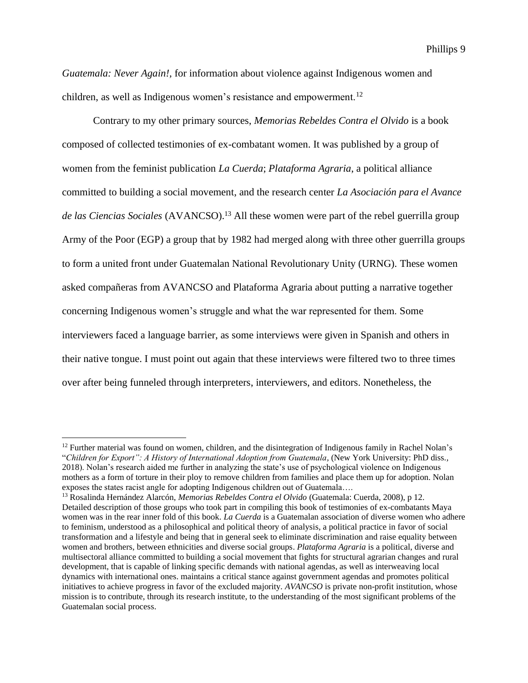*Guatemala: Never Again!,* for information about violence against Indigenous women and children, as well as Indigenous women's resistance and empowerment.<sup>12</sup>

Contrary to my other primary sources, *Memorias Rebeldes Contra el Olvido* is a book composed of collected testimonies of ex-combatant women. It was published by a group of women from the feminist publication *La Cuerda*; *Plataforma Agraria*, a political alliance committed to building a social movement, and the research center *La Asociación para el Avance de las Ciencias Sociales* (AVANCSO).<sup>13</sup> All these women were part of the rebel guerrilla group Army of the Poor (EGP) a group that by 1982 had merged along with three other guerrilla groups to form a united front under Guatemalan National Revolutionary Unity (URNG). These women asked compañeras from AVANCSO and Plataforma Agraria about putting a narrative together concerning Indigenous women's struggle and what the war represented for them. Some interviewers faced a language barrier, as some interviews were given in Spanish and others in their native tongue. I must point out again that these interviews were filtered two to three times over after being funneled through interpreters, interviewers, and editors. Nonetheless, the

<sup>&</sup>lt;sup>12</sup> Further material was found on women, children, and the disintegration of Indigenous family in Rachel Nolan's "*Children for Export": A History of International Adoption from Guatemala,* (New York University: PhD diss*.,*  2018). Nolan's research aided me further in analyzing the state's use of psychological violence on Indigenous mothers as a form of torture in their ploy to remove children from families and place them up for adoption. Nolan exposes the states racist angle for adopting Indigenous children out of Guatemala….

<sup>13</sup> Rosalinda Hernández Alarcón, *Memorias Rebeldes Contra el Olvido* (Guatemala: Cuerda, 2008), p 12. Detailed description of those groups who took part in compiling this book of testimonies of ex-combatants Maya women was in the rear inner fold of this book. *La Cuerda* is a Guatemalan association of diverse women who adhere to feminism, understood as a philosophical and political theory of analysis, a political practice in favor of social transformation and a lifestyle and being that in general seek to eliminate discrimination and raise equality between women and brothers, between ethnicities and diverse social groups. *Plataforma Agraria* is a political, diverse and multisectoral alliance committed to building a social movement that fights for structural agrarian changes and rural development, that is capable of linking specific demands with national agendas, as well as interweaving local dynamics with international ones. maintains a critical stance against government agendas and promotes political initiatives to achieve progress in favor of the excluded majority. *AVANCSO* is private non-profit institution, whose mission is to contribute, through its research institute, to the understanding of the most significant problems of the Guatemalan social process.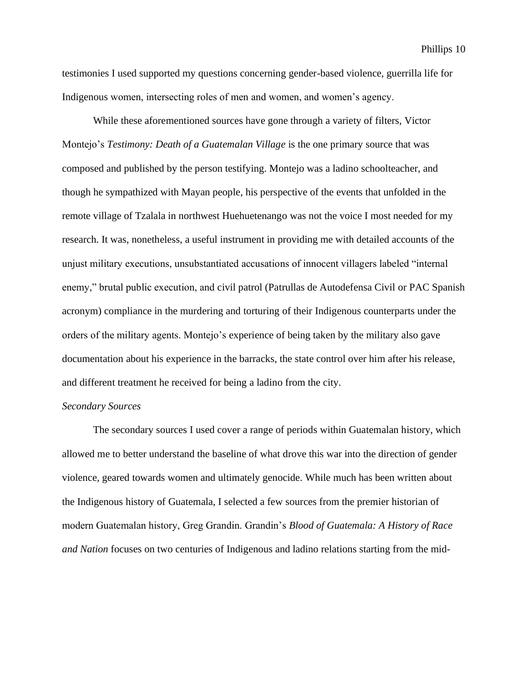testimonies I used supported my questions concerning gender-based violence, guerrilla life for Indigenous women, intersecting roles of men and women, and women's agency.

While these aforementioned sources have gone through a variety of filters, Victor Montejo's *Testimony: Death of a Guatemalan Village* is the one primary source that was composed and published by the person testifying. Montejo was a ladino schoolteacher, and though he sympathized with Mayan people, his perspective of the events that unfolded in the remote village of Tzalala in northwest Huehuetenango was not the voice I most needed for my research. It was, nonetheless, a useful instrument in providing me with detailed accounts of the unjust military executions, unsubstantiated accusations of innocent villagers labeled "internal enemy," brutal public execution, and civil patrol (Patrullas de Autodefensa Civil or PAC Spanish acronym) compliance in the murdering and torturing of their Indigenous counterparts under the orders of the military agents. Montejo's experience of being taken by the military also gave documentation about his experience in the barracks, the state control over him after his release, and different treatment he received for being a ladino from the city.

#### *Secondary Sources*

The secondary sources I used cover a range of periods within Guatemalan history, which allowed me to better understand the baseline of what drove this war into the direction of gender violence, geared towards women and ultimately genocide. While much has been written about the Indigenous history of Guatemala, I selected a few sources from the premier historian of modern Guatemalan history, Greg Grandin. Grandin's *Blood of Guatemala: A History of Race and Nation* focuses on two centuries of Indigenous and ladino relations starting from the mid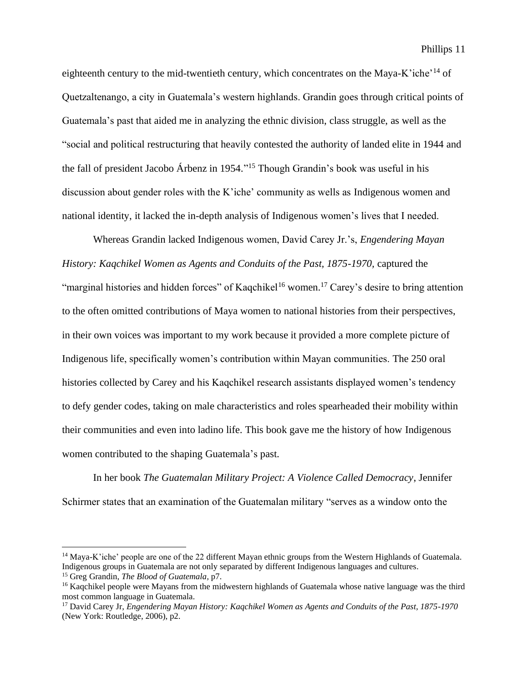eighteenth century to the mid-twentieth century, which concentrates on the Maya-K'iche'<sup>14</sup> of Quetzaltenango, a city in Guatemala's western highlands. Grandin goes through critical points of Guatemala's past that aided me in analyzing the ethnic division, class struggle, as well as the "social and political restructuring that heavily contested the authority of landed elite in 1944 and the fall of president Jacobo Árbenz in 1954." <sup>15</sup> Though Grandin's book was useful in his discussion about gender roles with the K'iche' community as wells as Indigenous women and national identity, it lacked the in-depth analysis of Indigenous women's lives that I needed.

Whereas Grandin lacked Indigenous women, David Carey Jr.'s, *Engendering Mayan History: Kagchikel Women as Agents and Conduits of the Past, 1875-1970, captured the* "marginal histories and hidden forces" of Kaqchikel<sup>16</sup> women.<sup>17</sup> Carey's desire to bring attention to the often omitted contributions of Maya women to national histories from their perspectives, in their own voices was important to my work because it provided a more complete picture of Indigenous life, specifically women's contribution within Mayan communities. The 250 oral histories collected by Carey and his Kaqchikel research assistants displayed women's tendency to defy gender codes, taking on male characteristics and roles spearheaded their mobility within their communities and even into ladino life. This book gave me the history of how Indigenous women contributed to the shaping Guatemala's past.

In her book *The Guatemalan Military Project: A Violence Called Democracy*, Jennifer Schirmer states that an examination of the Guatemalan military "serves as a window onto the

<sup>&</sup>lt;sup>14</sup> Maya-K'iche' people are one of the 22 different Mayan ethnic groups from the Western Highlands of Guatemala. Indigenous groups in Guatemala are not only separated by different Indigenous languages and cultures.

<sup>15</sup> Greg Grandin*, The Blood of Guatemala,* p7.

<sup>&</sup>lt;sup>16</sup> Kagchikel people were Mayans from the midwestern highlands of Guatemala whose native language was the third most common language in Guatemala.

<sup>17</sup> David Carey Jr, *Engendering Mayan History: Kaqchikel Women as Agents and Conduits of the Past, 1875-1970*  (New York: Routledge, 2006), p2.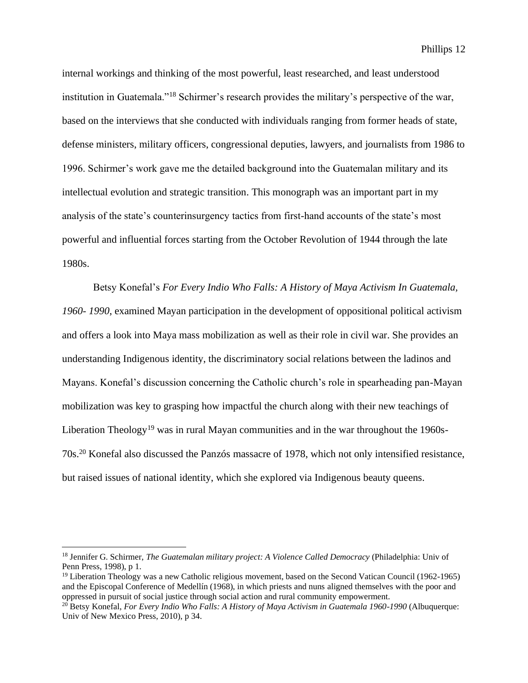Phillips 12

internal workings and thinking of the most powerful, least researched, and least understood institution in Guatemala."<sup>18</sup> Schirmer's research provides the military's perspective of the war, based on the interviews that she conducted with individuals ranging from former heads of state, defense ministers, military officers, congressional deputies, lawyers, and journalists from 1986 to 1996. Schirmer's work gave me the detailed background into the Guatemalan military and its intellectual evolution and strategic transition. This monograph was an important part in my analysis of the state's counterinsurgency tactics from first-hand accounts of the state's most powerful and influential forces starting from the October Revolution of 1944 through the late 1980s.

Betsy Konefal's *For Every Indio Who Falls: A History of Maya Activism In Guatemala, 1960- 1990*, examined Mayan participation in the development of oppositional political activism and offers a look into Maya mass mobilization as well as their role in civil war. She provides an understanding Indigenous identity, the discriminatory social relations between the ladinos and Mayans. Konefal's discussion concerning the Catholic church's role in spearheading pan-Mayan mobilization was key to grasping how impactful the church along with their new teachings of Liberation Theology<sup>19</sup> was in rural Mayan communities and in the war throughout the 1960s-70s.<sup>20</sup> Konefal also discussed the Panzós massacre of 1978, which not only intensified resistance, but raised issues of national identity, which she explored via Indigenous beauty queens.

<sup>18</sup> Jennifer G. Schirmer, *The Guatemalan military project: A Violence Called Democracy* (Philadelphia: Univ of Penn Press, 1998), p 1.

<sup>&</sup>lt;sup>19</sup> Liberation Theology was a new Catholic religious movement, based on the Second Vatican Council (1962-1965) and the Episcopal Conference of Medellín (1968), in which priests and nuns aligned themselves with the poor and oppressed in pursuit of social justice through social action and rural community empowerment.

<sup>20</sup> Betsy Konefal, *For Every Indio Who Falls: A History of Maya Activism in Guatemala 1960-1990* (Albuquerque: Univ of New Mexico Press, 2010), p 34.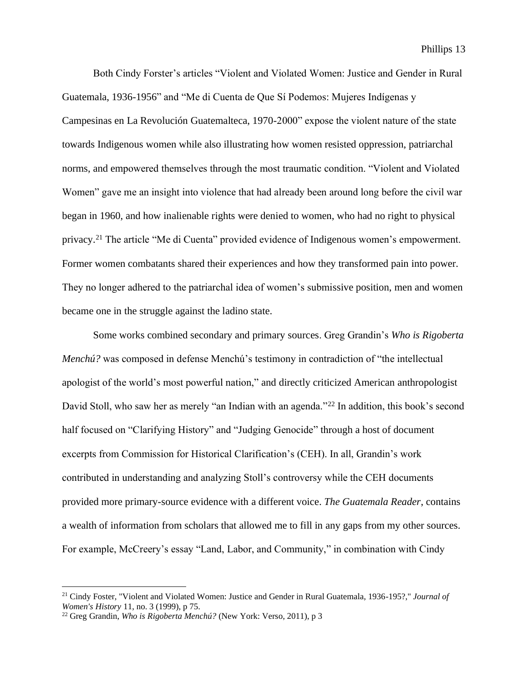Both Cindy Forster's articles "Violent and Violated Women: Justice and Gender in Rural Guatemala, 1936-1956" and "Me di Cuenta de Que Sí Podemos: Mujeres Indígenas y Campesinas en La Revolución Guatemalteca, 1970-2000" expose the violent nature of the state towards Indigenous women while also illustrating how women resisted oppression, patriarchal norms, and empowered themselves through the most traumatic condition. "Violent and Violated Women" gave me an insight into violence that had already been around long before the civil war began in 1960, and how inalienable rights were denied to women, who had no right to physical privacy.<sup>21</sup> The article "Me di Cuenta" provided evidence of Indigenous women's empowerment. Former women combatants shared their experiences and how they transformed pain into power. They no longer adhered to the patriarchal idea of women's submissive position, men and women became one in the struggle against the ladino state.

Some works combined secondary and primary sources. Greg Grandin's *Who is Rigoberta Menchú?* was composed in defense Menchú's testimony in contradiction of "the intellectual apologist of the world's most powerful nation," and directly criticized American anthropologist David Stoll, who saw her as merely "an Indian with an agenda."<sup>22</sup> In addition, this book's second half focused on "Clarifying History" and "Judging Genocide" through a host of document excerpts from Commission for Historical Clarification's (CEH). In all, Grandin's work contributed in understanding and analyzing Stoll's controversy while the CEH documents provided more primary-source evidence with a different voice. *The Guatemala Reader*, contains a wealth of information from scholars that allowed me to fill in any gaps from my other sources. For example, McCreery's essay "Land, Labor, and Community," in combination with Cindy

<sup>21</sup> Cindy Foster, "Violent and Violated Women: Justice and Gender in Rural Guatemala, 1936-195?," *Journal of Women's History* 11, no. 3 (1999), p 75.

<sup>22</sup> Greg Grandin, *Who is Rigoberta Menchú?* (New York: Verso, 2011), p 3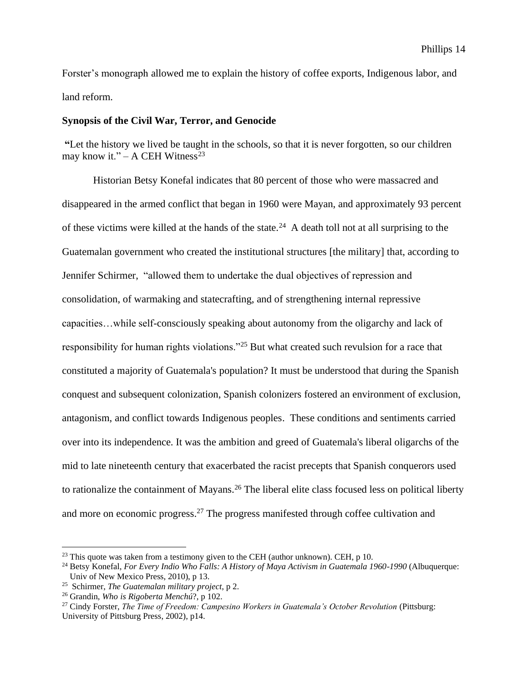Forster's monograph allowed me to explain the history of coffee exports, Indigenous labor, and land reform.

#### **Synopsis of the Civil War, Terror, and Genocide**

**"**Let the history we lived be taught in the schools, so that it is never forgotten, so our children may know it." – A CEH Witness<sup>23</sup>

Historian Betsy Konefal indicates that 80 percent of those who were massacred and disappeared in the armed conflict that began in 1960 were Mayan, and approximately 93 percent of these victims were killed at the hands of the state.<sup>24</sup> A death toll not at all surprising to the Guatemalan government who created the institutional structures [the military] that, according to Jennifer Schirmer, "allowed them to undertake the dual objectives of repression and consolidation, of warmaking and statecrafting, and of strengthening internal repressive capacities…while self-consciously speaking about autonomy from the oligarchy and lack of responsibility for human rights violations."<sup>25</sup> But what created such revulsion for a race that constituted a majority of Guatemala's population? It must be understood that during the Spanish conquest and subsequent colonization, Spanish colonizers fostered an environment of exclusion, antagonism, and conflict towards Indigenous peoples. These conditions and sentiments carried over into its independence. It was the ambition and greed of Guatemala's liberal oligarchs of the mid to late nineteenth century that exacerbated the racist precepts that Spanish conquerors used to rationalize the containment of Mayans.<sup>26</sup> The liberal elite class focused less on political liberty and more on economic progress.<sup>27</sup> The progress manifested through coffee cultivation and

 $^{23}$  This quote was taken from a testimony given to the CEH (author unknown). CEH, p 10.

<sup>24</sup> Betsy Konefal, *For Every Indio Who Falls: A History of Maya Activism in Guatemala 1960-1990* (Albuquerque: Univ of New Mexico Press, 2010), p 13.

<sup>25</sup> Schirmer, *The Guatemalan military project*, p 2.

<sup>26</sup> Grandin, *Who is Rigoberta Menchú*?, p 102.

<sup>27</sup> Cindy Forster, *The Time of Freedom: Campesino Workers in Guatemala's October Revolution* (Pittsburg: University of Pittsburg Press, 2002), p14.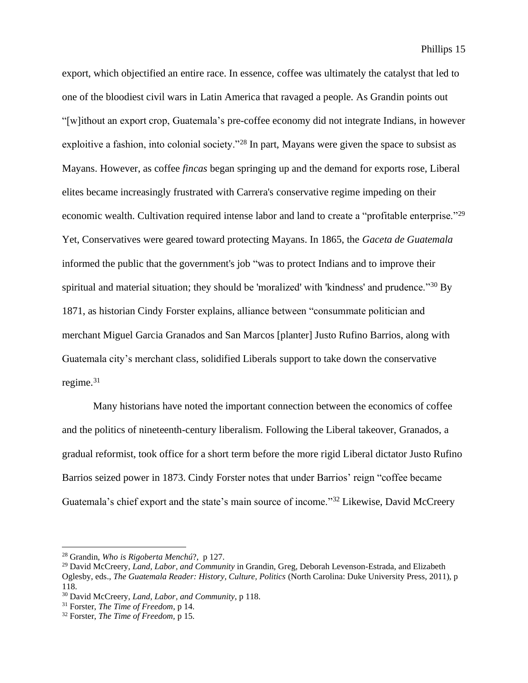export, which objectified an entire race. In essence, coffee was ultimately the catalyst that led to one of the bloodiest civil wars in Latin America that ravaged a people. As Grandin points out "[w]ithout an export crop, Guatemala's pre-coffee economy did not integrate Indians, in however exploitive a fashion, into colonial society."<sup>28</sup> In part, Mayans were given the space to subsist as Mayans. However, as coffee *fincas* began springing up and the demand for exports rose, Liberal elites became increasingly frustrated with Carrera's conservative regime impeding on their economic wealth. Cultivation required intense labor and land to create a "profitable enterprise."<sup>29</sup> Yet, Conservatives were geared toward protecting Mayans. In 1865, the *Gaceta de Guatemala* informed the public that the government's job "was to protect Indians and to improve their spiritual and material situation; they should be 'moralized' with 'kindness' and prudence."<sup>30</sup> By 1871, as historian Cindy Forster explains, alliance between "consummate politician and merchant Miguel Garcia Granados and San Marcos [planter] Justo Rufino Barrios, along with Guatemala city's merchant class, solidified Liberals support to take down the conservative regime. $31$ 

Many historians have noted the important connection between the economics of coffee and the politics of nineteenth-century liberalism. Following the Liberal takeover, Granados, a gradual reformist, took office for a short term before the more rigid Liberal dictator Justo Rufino Barrios seized power in 1873. Cindy Forster notes that under Barrios' reign "coffee became Guatemala's chief export and the state's main source of income."<sup>32</sup> Likewise, David McCreery

<sup>28</sup> Grandin, *Who is Rigoberta Menchú*?, p 127.

<sup>29</sup> David McCreery, *Land, Labor, and Community* in Grandin, Greg, Deborah Levenson-Estrada, and Elizabeth Oglesby, eds., *The Guatemala Reader: History, Culture, Politics* (North Carolina: Duke University Press, 2011), p 118.

<sup>30</sup> David McCreery, *Land, Labor, and Community*, p 118.

<sup>31</sup> Forster, *The Time of Freedom*, p 14.

<sup>32</sup> Forster, *The Time of Freedom,* p 15.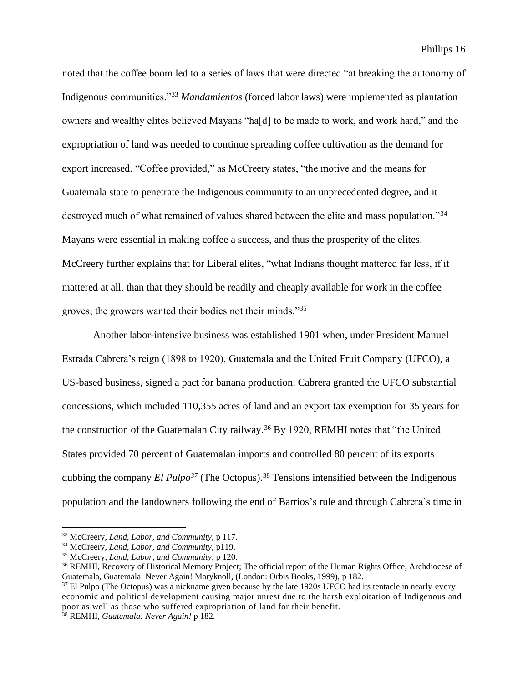noted that the coffee boom led to a series of laws that were directed "at breaking the autonomy of Indigenous communities."<sup>33</sup> *Mandamientos* (forced labor laws) were implemented as plantation owners and wealthy elites believed Mayans "ha[d] to be made to work, and work hard," and the expropriation of land was needed to continue spreading coffee cultivation as the demand for export increased. "Coffee provided," as McCreery states, "the motive and the means for Guatemala state to penetrate the Indigenous community to an unprecedented degree, and it destroyed much of what remained of values shared between the elite and mass population."<sup>34</sup> Mayans were essential in making coffee a success, and thus the prosperity of the elites. McCreery further explains that for Liberal elites, "what Indians thought mattered far less, if it mattered at all, than that they should be readily and cheaply available for work in the coffee groves; the growers wanted their bodies not their minds."<sup>35</sup>

Another labor-intensive business was established 1901 when, under President Manuel Estrada Cabrera's reign (1898 to 1920), Guatemala and the United Fruit Company (UFCO), a US-based business, signed a pact for banana production. Cabrera granted the UFCO substantial concessions, which included 110,355 acres of land and an export tax exemption for 35 years for the construction of the Guatemalan City railway.<sup>36</sup> By 1920, REMHI notes that "the United States provided 70 percent of Guatemalan imports and controlled 80 percent of its exports dubbing the company *El Pulpo<sup>37</sup>* (The Octopus). <sup>38</sup> Tensions intensified between the Indigenous population and the landowners following the end of Barrios's rule and through Cabrera's time in

<sup>33</sup> McCreery, *Land, Labor, and Community,* p 117.

<sup>34</sup> McCreery, *Land, Labor, and Community*, p119.

<sup>35</sup> McCreery, *Land, Labor, and Community*, p 120.

<sup>36</sup> REMHI, Recovery of Historical Memory Project; The official report of the Human Rights Office, Archdiocese of Guatemala, Guatemala: Never Again! Maryknoll, (London: Orbis Books, 1999), p 182.

<sup>&</sup>lt;sup>37</sup> El Pulpo (The Octopus) was a nickname given because by the late 1920s UFCO had its tentacle in nearly every economic and political development causing major unrest due to the harsh exploitation of Indigenous and poor as well as those who suffered expropriation of land for their benefit.

<sup>38</sup> REMHI, *Guatemala: Never Again!* p 182.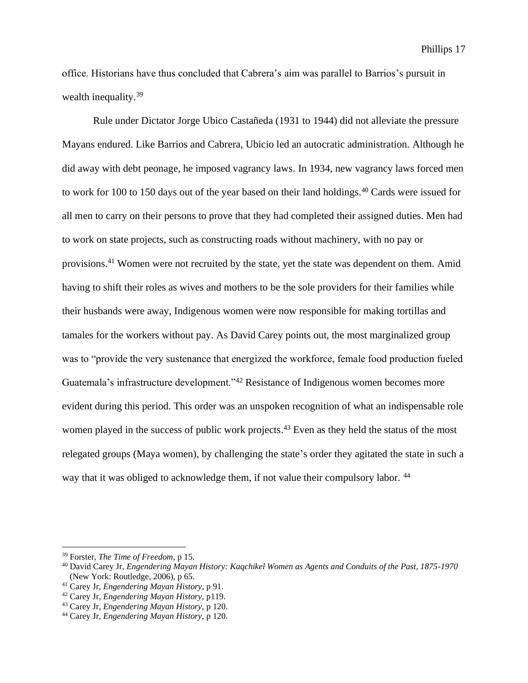office. Historians have thus concluded that Cabrera's aim was parallel to Barrios's pursuit in wealth inequality.<sup>39</sup>

Rule under Dictator Jorge Ubico Castañeda (1931 to 1944) did not alleviate the pressure Mayans endured. Like Barrios and Cabrera, Ubicio led an autocratic administration. Although he did away with debt peonage, he imposed vagrancy laws. In 1934, new vagrancy laws forced men to work for 100 to 150 days out of the year based on their land holdings.<sup>40</sup> Cards were issued for all men to carry on their persons to prove that they had completed their assigned duties. Men had to work on state projects, such as constructing roads without machinery, with no pay or provisions.<sup>41</sup> Women were not recruited by the state, yet the state was dependent on them. Amid having to shift their roles as wives and mothers to be the sole providers for their families while their husbands were away, Indigenous women were now responsible for making tortillas and tamales for the workers without pay. As David Carey points out, the most marginalized group was to "provide the very sustenance that energized the workforce, female food production fueled Guatemala's infrastructure development."<sup>42</sup> Resistance of Indigenous women becomes more evident during this period. This order was an unspoken recognition of what an indispensable role women played in the success of public work projects.<sup>43</sup> Even as they held the status of the most relegated groups (Maya women), by challenging the state's order they agitated the state in such a way that it was obliged to acknowledge them, if not value their compulsory labor. <sup>44</sup>

<sup>39</sup> Forster, *The Time of Freedom*, p 15.

<sup>40</sup> David Carey Jr, *Engendering Mayan History: Kaqchikel Women as Agents and Conduits of the Past, 1875-1970*  (New York: Routledge, 2006), p 65.

<sup>41</sup> Carey Jr, *Engendering Mayan History*, p 91.

<sup>42</sup> Carey Jr, *Engendering Mayan History,* p119.

<sup>43</sup> Carey Jr, *Engendering Mayan History,* p 120.

<sup>44</sup> Carey Jr, *Engendering Mayan History,* p 120.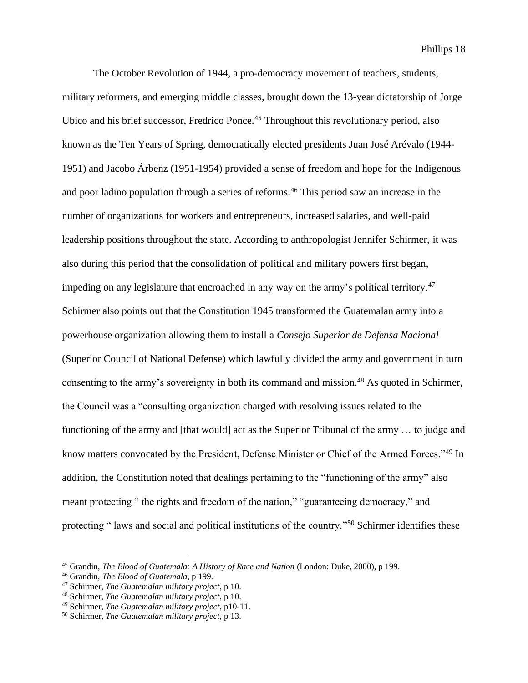The October Revolution of 1944, a pro-democracy movement of teachers, students, military reformers, and emerging middle classes, brought down the 13-year dictatorship of Jorge Ubico and his brief successor, Fredrico Ponce.<sup>45</sup> Throughout this revolutionary period, also known as the Ten Years of Spring, democratically elected presidents Juan José Arévalo (1944- 1951) and Jacobo Árbenz (1951-1954) provided a sense of freedom and hope for the Indigenous and poor ladino population through a series of reforms.<sup>46</sup> This period saw an increase in the number of organizations for workers and entrepreneurs, increased salaries, and well-paid leadership positions throughout the state. According to anthropologist Jennifer Schirmer, it was also during this period that the consolidation of political and military powers first began, impeding on any legislature that encroached in any way on the army's political territory.<sup>47</sup> Schirmer also points out that the Constitution 1945 transformed the Guatemalan army into a powerhouse organization allowing them to install a *Consejo Superior de Defensa Nacional*  (Superior Council of National Defense) which lawfully divided the army and government in turn consenting to the army's sovereignty in both its command and mission.<sup>48</sup> As quoted in Schirmer, the Council was a "consulting organization charged with resolving issues related to the functioning of the army and [that would] act as the Superior Tribunal of the army … to judge and know matters convocated by the President, Defense Minister or Chief of the Armed Forces."<sup>49</sup> In addition, the Constitution noted that dealings pertaining to the "functioning of the army" also meant protecting " the rights and freedom of the nation," "guaranteeing democracy," and protecting " laws and social and political institutions of the country."<sup>50</sup> Schirmer identifies these

<sup>45</sup> Grandin, *The Blood of Guatemala: A History of Race and Nation* (London: Duke, 2000), p 199.

<sup>46</sup> Grandin, *The Blood of Guatemala*, p 199.

<sup>47</sup> Schirmer, *The Guatemalan military project*, p 10.

<sup>48</sup> Schirmer, *The Guatemalan military project*, p 10.

<sup>49</sup> Schirmer, *The Guatemalan military project*, p10-11.

<sup>50</sup> Schirmer, *The Guatemalan military project*, p 13.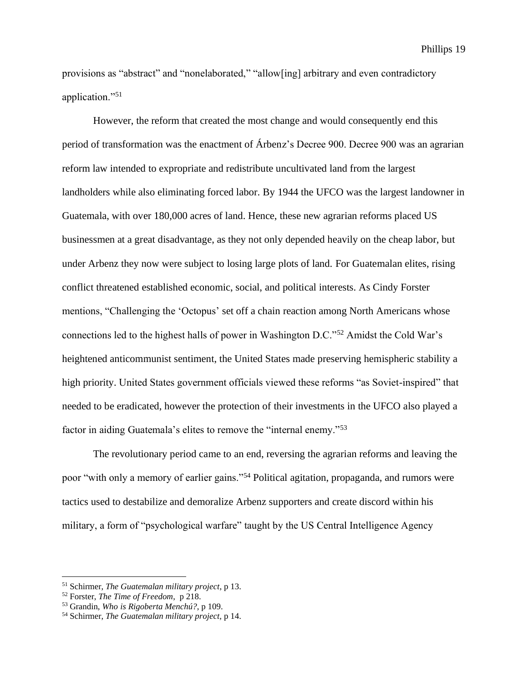provisions as "abstract" and "nonelaborated," "allow[ing] arbitrary and even contradictory application."<sup>51</sup>

However, the reform that created the most change and would consequently end this period of transformation was the enactment of Árbenz's Decree 900. Decree 900 was an agrarian reform law intended to expropriate and redistribute uncultivated land from the largest landholders while also eliminating forced labor. By 1944 the UFCO was the largest landowner in Guatemala, with over 180,000 acres of land. Hence, these new agrarian reforms placed US businessmen at a great disadvantage, as they not only depended heavily on the cheap labor, but under Arbenz they now were subject to losing large plots of land. For Guatemalan elites, rising conflict threatened established economic, social, and political interests. As Cindy Forster mentions, "Challenging the 'Octopus' set off a chain reaction among North Americans whose connections led to the highest halls of power in Washington D.C."<sup>52</sup> Amidst the Cold War's heightened anticommunist sentiment, the United States made preserving hemispheric stability a high priority. United States government officials viewed these reforms "as Soviet-inspired" that needed to be eradicated, however the protection of their investments in the UFCO also played a factor in aiding Guatemala's elites to remove the "internal enemy."<sup>53</sup>

The revolutionary period came to an end, reversing the agrarian reforms and leaving the poor "with only a memory of earlier gains."<sup>54</sup> Political agitation, propaganda, and rumors were tactics used to destabilize and demoralize Arbenz supporters and create discord within his military, a form of "psychological warfare" taught by the US Central Intelligence Agency

<sup>51</sup> Schirmer, *The Guatemalan military project*, p 13.

<sup>52</sup> Forster, *The Time of Freedom*, p 218.

<sup>53</sup> Grandin, *Who is Rigoberta Menchú?*, p 109.

<sup>54</sup> Schirmer, *The Guatemalan military project,* p 14.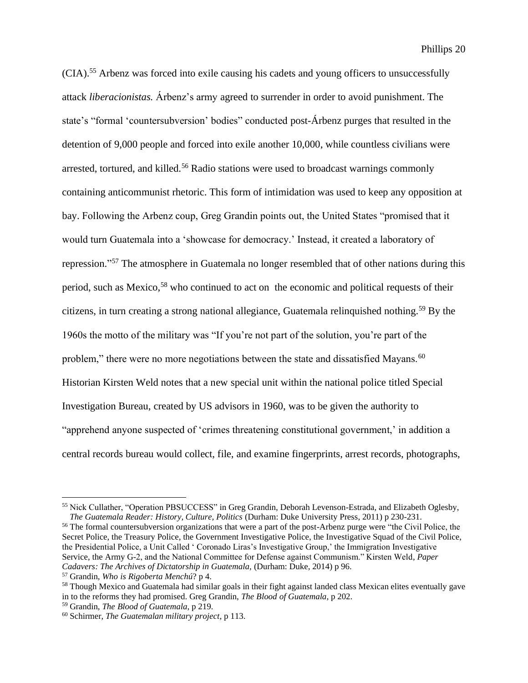(CIA).<sup>55</sup> Arbenz was forced into exile causing his cadets and young officers to unsuccessfully attack *liberacionistas.* Árbenz's army agreed to surrender in order to avoid punishment. The state's "formal 'countersubversion' bodies" conducted post-Árbenz purges that resulted in the detention of 9,000 people and forced into exile another 10,000, while countless civilians were arrested, tortured, and killed.<sup>56</sup> Radio stations were used to broadcast warnings commonly containing anticommunist rhetoric. This form of intimidation was used to keep any opposition at bay. Following the Arbenz coup, Greg Grandin points out, the United States "promised that it would turn Guatemala into a 'showcase for democracy.' Instead, it created a laboratory of repression."<sup>57</sup> The atmosphere in Guatemala no longer resembled that of other nations during this period, such as Mexico,<sup>58</sup> who continued to act on the economic and political requests of their citizens, in turn creating a strong national allegiance, Guatemala relinquished nothing.<sup>59</sup> By the 1960s the motto of the military was "If you're not part of the solution, you're part of the problem," there were no more negotiations between the state and dissatisfied Mayans.<sup>60</sup> Historian Kirsten Weld notes that a new special unit within the national police titled Special Investigation Bureau, created by US advisors in 1960, was to be given the authority to "apprehend anyone suspected of 'crimes threatening constitutional government,' in addition a central records bureau would collect, file, and examine fingerprints, arrest records, photographs,

<sup>56</sup> The formal countersubversion organizations that were a part of the post-Arbenz purge were "the Civil Police, the Secret Police, the Treasury Police, the Government Investigative Police, the Investigative Squad of the Civil Police, the Presidential Police, a Unit Called ' Coronado Liras's Investigative Group,' the Immigration Investigative Service, the Army G-2, and the National Committee for Defense against Communism." Kirsten Weld*, Paper Cadavers: The Archives of Dictatorship in Guatemala, (Durham: Duke, 2014) p 96.* 

<sup>55</sup> Nick Cullather, "Operation PBSUCCESS" in Greg Grandin, Deborah Levenson-Estrada, and Elizabeth Oglesby, *The Guatemala Reader: History, Culture, Politics* (Durham: Duke University Press, 2011) p 230-231.

<sup>57</sup> Grandin, *Who is Rigoberta Menchú*? p 4.

<sup>&</sup>lt;sup>58</sup> Though Mexico and Guatemala had similar goals in their fight against landed class Mexican elites eventually gave in to the reforms they had promised. Greg Grandin, *The Blood of Guatemala*, p 202.

<sup>59</sup> Grandin, *The Blood of Guatemala*, p 219.

<sup>60</sup> Schirmer, *The Guatemalan military project*, p 113.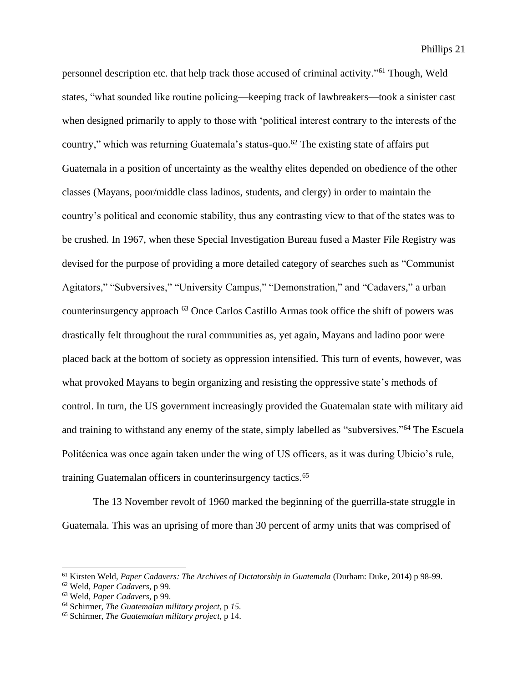personnel description etc. that help track those accused of criminal activity."<sup>61</sup> Though, Weld states, "what sounded like routine policing—keeping track of lawbreakers—took a sinister cast when designed primarily to apply to those with 'political interest contrary to the interests of the country," which was returning Guatemala's status-quo.<sup>62</sup> The existing state of affairs put Guatemala in a position of uncertainty as the wealthy elites depended on obedience of the other classes (Mayans, poor/middle class ladinos, students, and clergy) in order to maintain the country's political and economic stability, thus any contrasting view to that of the states was to be crushed. In 1967, when these Special Investigation Bureau fused a Master File Registry was devised for the purpose of providing a more detailed category of searches such as "Communist Agitators," "Subversives," "University Campus," "Demonstration," and "Cadavers," a urban counterinsurgency approach <sup>63</sup> Once Carlos Castillo Armas took office the shift of powers was drastically felt throughout the rural communities as, yet again, Mayans and ladino poor were placed back at the bottom of society as oppression intensified. This turn of events, however, was what provoked Mayans to begin organizing and resisting the oppressive state's methods of control. In turn, the US government increasingly provided the Guatemalan state with military aid and training to withstand any enemy of the state, simply labelled as "subversives." <sup>64</sup> The Escuela Politécnica was once again taken under the wing of US officers, as it was during Ubicio's rule, training Guatemalan officers in counterinsurgency tactics.<sup>65</sup>

The 13 November revolt of 1960 marked the beginning of the guerrilla-state struggle in Guatemala. This was an uprising of more than 30 percent of army units that was comprised of

<sup>61</sup> Kirsten Weld, *Paper Cadavers: The Archives of Dictatorship in Guatemala* (Durham: Duke, 2014) p 98-99.

<sup>62</sup> Weld, *Paper Cadavers,* p 99.

<sup>63</sup> Weld, *Paper Cadavers,* p 99.

<sup>64</sup> Schirmer, *The Guatemalan military project,* p *15.*

<sup>65</sup> Schirmer, *The Guatemalan military project*, p 14.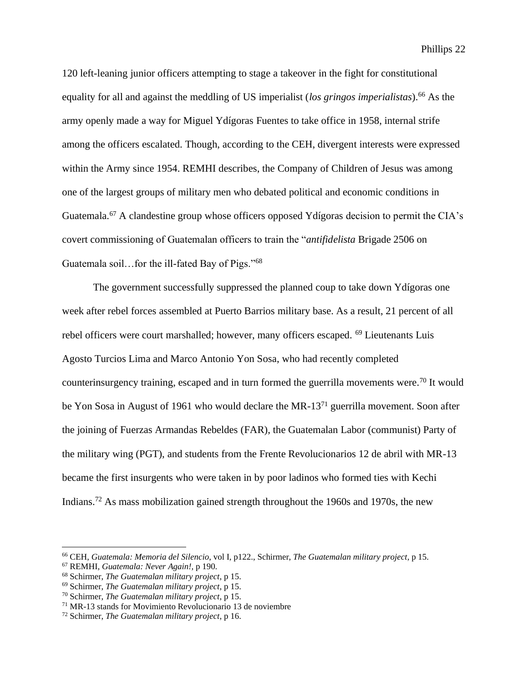120 left-leaning junior officers attempting to stage a takeover in the fight for constitutional equality for all and against the meddling of US imperialist (*los gringos imperialistas*).<sup>66</sup> As the army openly made a way for Miguel Ydígoras Fuentes to take office in 1958, internal strife among the officers escalated. Though, according to the CEH, divergent interests were expressed within the Army since 1954. REMHI describes, the Company of Children of Jesus was among one of the largest groups of military men who debated political and economic conditions in Guatemala.<sup>67</sup> A clandestine group whose officers opposed Ydígoras decision to permit the CIA's covert commissioning of Guatemalan officers to train the "*antifidelista* Brigade 2506 on Guatemala soil…for the ill-fated Bay of Pigs."<sup>68</sup>

The government successfully suppressed the planned coup to take down Ydígoras one week after rebel forces assembled at Puerto Barrios military base. As a result, 21 percent of all rebel officers were court marshalled; however, many officers escaped. <sup>69</sup> Lieutenants Luis Agosto Turcios Lima and Marco Antonio Yon Sosa, who had recently completed counterinsurgency training, escaped and in turn formed the guerrilla movements were.<sup>70</sup> It would be Yon Sosa in August of 1961 who would declare the MR-13<sup>71</sup> guerrilla movement. Soon after the joining of Fuerzas Armandas Rebeldes (FAR), the Guatemalan Labor (communist) Party of the military wing (PGT), and students from the Frente Revolucionarios 12 de abril with MR-13 became the first insurgents who were taken in by poor ladinos who formed ties with Kechi Indians.<sup>72</sup> As mass mobilization gained strength throughout the 1960s and 1970s, the new

<sup>66</sup> CEH, *Guatemala: Memoria del Silencio*, vol I*,* p122., Schirmer, *The Guatemalan military project,* p 15.

<sup>67</sup> REMHI, *Guatemala: Never Again!,* p 190.

<sup>68</sup> Schirmer, *The Guatemalan military project*, p 15.

<sup>69</sup> Schirmer, *The Guatemalan military project*, p 15.

<sup>70</sup> Schirmer, *The Guatemalan military project*, p 15.

<sup>71</sup> MR-13 stands for Movimiento Revolucionario 13 de noviembre

<sup>72</sup> Schirmer, *The Guatemalan military project*, p 16.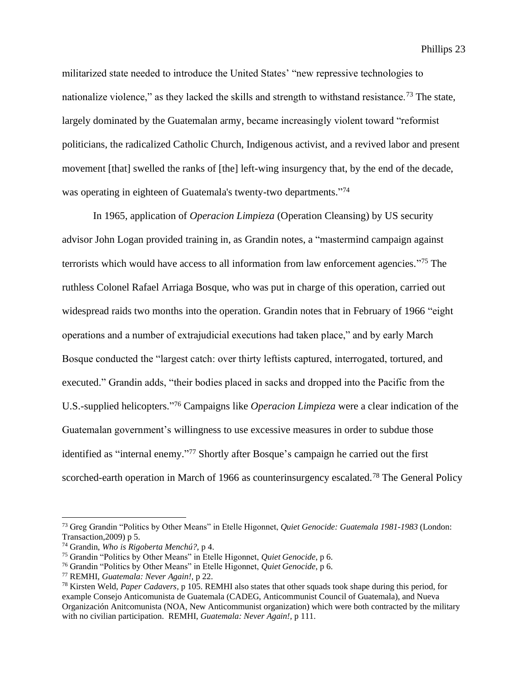militarized state needed to introduce the United States' "new repressive technologies to nationalize violence," as they lacked the skills and strength to withstand resistance.<sup>73</sup> The state, largely dominated by the Guatemalan army, became increasingly violent toward "reformist politicians, the radicalized Catholic Church, Indigenous activist, and a revived labor and present movement [that] swelled the ranks of [the] left-wing insurgency that, by the end of the decade, was operating in eighteen of Guatemala's twenty-two departments."74

In 1965, application of *Operacion Limpieza* (Operation Cleansing) by US security advisor John Logan provided training in, as Grandin notes, a "mastermind campaign against terrorists which would have access to all information from law enforcement agencies." <sup>75</sup> The ruthless Colonel Rafael Arriaga Bosque, who was put in charge of this operation, carried out widespread raids two months into the operation. Grandin notes that in February of 1966 "eight operations and a number of extrajudicial executions had taken place," and by early March Bosque conducted the "largest catch: over thirty leftists captured, interrogated, tortured, and executed." Grandin adds, "their bodies placed in sacks and dropped into the Pacific from the U.S.-supplied helicopters." <sup>76</sup> Campaigns like *Operacion Limpieza* were a clear indication of the Guatemalan government's willingness to use excessive measures in order to subdue those identified as "internal enemy." <sup>77</sup> Shortly after Bosque's campaign he carried out the first scorched-earth operation in March of 1966 as counterinsurgency escalated.<sup>78</sup> The General Policy

<sup>73</sup> Greg Grandin "Politics by Other Means" in Etelle Higonnet, *Quiet Genocide: Guatemala 1981-1983* (London: Transaction,2009) p 5.

<sup>74</sup> Grandin, *Who is Rigoberta Menchú?,* p 4.

<sup>75</sup> Grandin "Politics by Other Means" in Etelle Higonnet, *Quiet Genocide*, p 6.

<sup>76</sup> Grandin "Politics by Other Means" in Etelle Higonnet, *Quiet Genocide*, p 6.

<sup>77</sup> REMHI, *Guatemala: Never Again!,* p 22.

<sup>78</sup> Kirsten Weld, *Paper Cadavers,* p 105. REMHI also states that other squads took shape during this period, for example Consejo Anticomunista de Guatemala (CADEG, Anticommunist Council of Guatemala), and Nueva Organización Anitcomunista (NOA, New Anticommunist organization) which were both contracted by the military with no civilian participation. REMHI, *Guatemala: Never Again!,* p 111.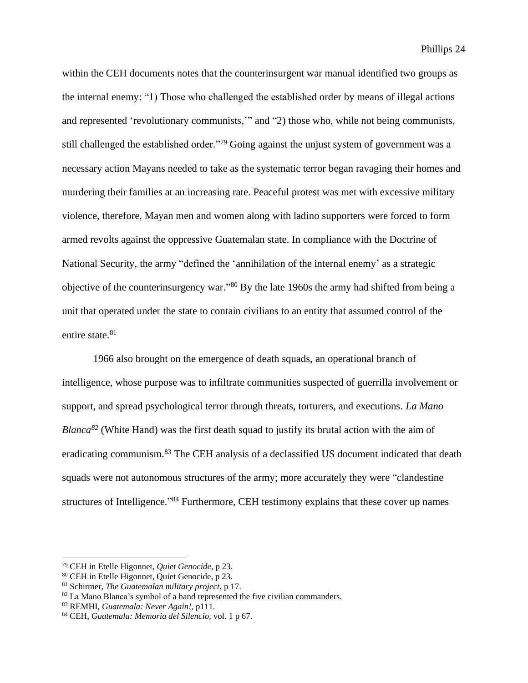within the CEH documents notes that the counterinsurgent war manual identified two groups as the internal enemy: "1) Those who challenged the established order by means of illegal actions and represented 'revolutionary communists,'" and "2) those who, while not being communists, still challenged the established order."<sup>79</sup> Going against the unjust system of government was a necessary action Mayans needed to take as the systematic terror began ravaging their homes and murdering their families at an increasing rate. Peaceful protest was met with excessive military violence, therefore, Mayan men and women along with ladino supporters were forced to form armed revolts against the oppressive Guatemalan state. In compliance with the Doctrine of National Security, the army "defined the 'annihilation of the internal enemy' as a strategic objective of the counterinsurgency war." <sup>80</sup> By the late 1960s the army had shifted from being a unit that operated under the state to contain civilians to an entity that assumed control of the entire state.<sup>81</sup>

1966 also brought on the emergence of death squads, an operational branch of intelligence, whose purpose was to infiltrate communities suspected of guerrilla involvement or support, and spread psychological terror through threats, torturers, and executions. *La Mano Blanca<sup>82</sup>* (White Hand) was the first death squad to justify its brutal action with the aim of eradicating communism.<sup>83</sup> The CEH analysis of a declassified US document indicated that death squads were not autonomous structures of the army; more accurately they were "clandestine structures of Intelligence."<sup>84</sup> Furthermore, CEH testimony explains that these cover up names

<sup>79</sup> CEH in Etelle Higonnet, *Quiet Genocide,* p 23.

<sup>80</sup> CEH in Etelle Higonnet, Quiet Genocide, p 23.

<sup>81</sup> Schirmer, *The Guatemalan military project,* p 17.

 $82$  La Mano Blanca's symbol of a hand represented the five civilian commanders.

<sup>83</sup> REMHI, *Guatemala: Never Again!*, p111.

<sup>84</sup> CEH, *Guatemala: Memoria del Silencio,* vol. 1 p 67.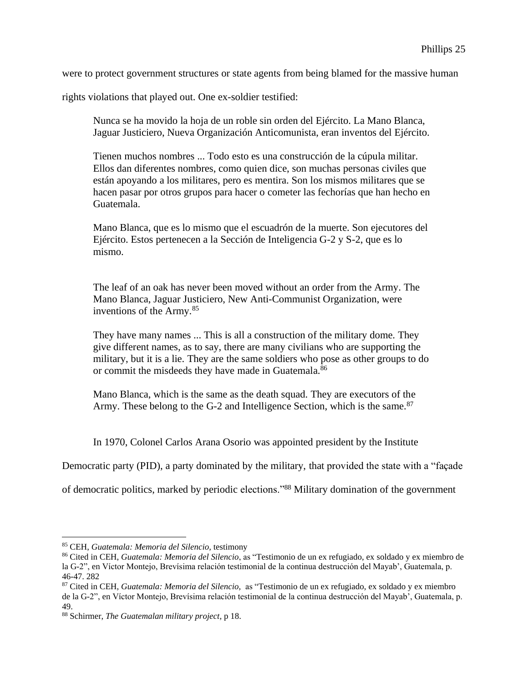were to protect government structures or state agents from being blamed for the massive human

rights violations that played out. One ex-soldier testified:

Nunca se ha movido la hoja de un roble sin orden del Ejército. La Mano Blanca, Jaguar Justiciero, Nueva Organización Anticomunista, eran inventos del Ejército.

Tienen muchos nombres ... Todo esto es una construcción de la cúpula militar. Ellos dan diferentes nombres, como quien dice, son muchas personas civiles que están apoyando a los militares, pero es mentira. Son los mismos militares que se hacen pasar por otros grupos para hacer o cometer las fechorías que han hecho en Guatemala.

Mano Blanca, que es lo mismo que el escuadrón de la muerte. Son ejecutores del Ejército. Estos pertenecen a la Sección de Inteligencia G-2 y S-2, que es lo mismo.

The leaf of an oak has never been moved without an order from the Army. The Mano Blanca, Jaguar Justiciero, New Anti-Communist Organization, were inventions of the Army.<sup>85</sup>

They have many names ... This is all a construction of the military dome. They give different names, as to say, there are many civilians who are supporting the military, but it is a lie. They are the same soldiers who pose as other groups to do or commit the misdeeds they have made in Guatemala.<sup>86</sup>

Mano Blanca, which is the same as the death squad. They are executors of the Army. These belong to the G-2 and Intelligence Section, which is the same.<sup>87</sup>

In 1970, Colonel Carlos Arana Osorio was appointed president by the Institute

Democratic party (PID), a party dominated by the military, that provided the state with a "façade

of democratic politics, marked by periodic elections."<sup>88</sup> Military domination of the government

<sup>85</sup> CEH, *Guatemala: Memoria del Silencio,* testimony

<sup>86</sup> Cited in CEH, *Guatemala: Memoria del Silencio*, as "Testimonio de un ex refugiado, ex soldado y ex miembro de la G-2", en Víctor Montejo, Brevísima relación testimonial de la continua destrucción del Mayab', Guatemala, p. 46-47. 282

<sup>87</sup> Cited in CEH, *Guatemala: Memoria del Silencio,* as "Testimonio de un ex refugiado, ex soldado y ex miembro de la G-2", en Víctor Montejo, Brevísima relación testimonial de la continua destrucción del Mayab', Guatemala, p. 49.

<sup>88</sup> Schirmer, *The Guatemalan military project,* p 18.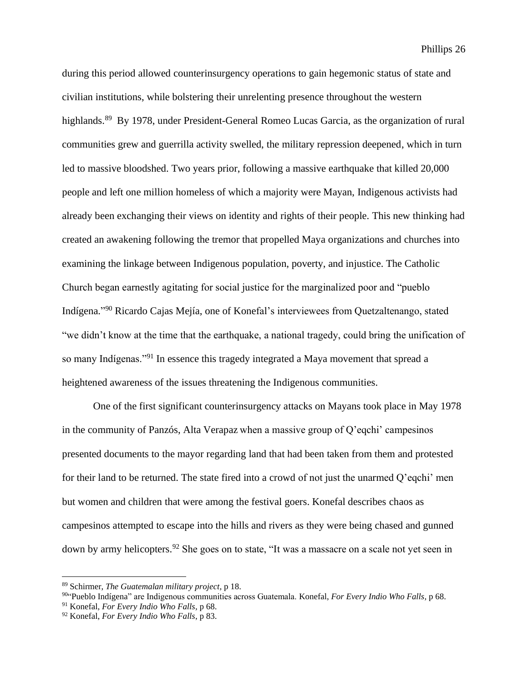during this period allowed counterinsurgency operations to gain hegemonic status of state and civilian institutions, while bolstering their unrelenting presence throughout the western highlands.<sup>89</sup> By 1978, under President-General Romeo Lucas Garcia, as the organization of rural communities grew and guerrilla activity swelled, the military repression deepened, which in turn led to massive bloodshed. Two years prior, following a massive earthquake that killed 20,000 people and left one million homeless of which a majority were Mayan, Indigenous activists had already been exchanging their views on identity and rights of their people. This new thinking had created an awakening following the tremor that propelled Maya organizations and churches into examining the linkage between Indigenous population, poverty, and injustice. The Catholic Church began earnestly agitating for social justice for the marginalized poor and "pueblo Indígena." <sup>90</sup> Ricardo Cajas Mejía, one of Konefal's interviewees from Quetzaltenango, stated "we didn't know at the time that the earthquake, a national tragedy, could bring the unification of so many Indígenas."<sup>91</sup> In essence this tragedy integrated a Maya movement that spread a heightened awareness of the issues threatening the Indigenous communities.

One of the first significant counterinsurgency attacks on Mayans took place in May 1978 in the community of Panzós, Alta Verapaz when a massive group of Q'eqchi' campesinos presented documents to the mayor regarding land that had been taken from them and protested for their land to be returned. The state fired into a crowd of not just the unarmed Q'eqchi' men but women and children that were among the festival goers. Konefal describes chaos as campesinos attempted to escape into the hills and rivers as they were being chased and gunned down by army helicopters.<sup>92</sup> She goes on to state, "It was a massacre on a scale not yet seen in

<sup>89</sup> Schirmer, *The Guatemalan military project,* p 18.

<sup>90</sup> "Pueblo Indígena" are Indigenous communities across Guatemala. Konefal, *For Every Indio Who Falls,* p 68.

<sup>91</sup> Konefal, *For Every Indio Who Falls,* p 68.

<sup>92</sup> Konefal, *For Every Indio Who Falls*, p 83.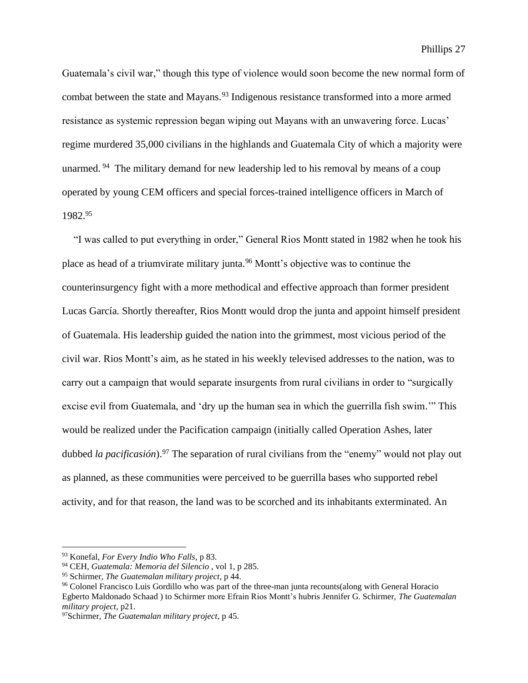Guatemala's civil war," though this type of violence would soon become the new normal form of combat between the state and Mayans.<sup>93</sup> Indigenous resistance transformed into a more armed resistance as systemic repression began wiping out Mayans with an unwavering force. Lucas' regime murdered 35,000 civilians in the highlands and Guatemala City of which a majority were unarmed. <sup>94</sup> The military demand for new leadership led to his removal by means of a coup operated by young CEM officers and special forces-trained intelligence officers in March of 1982.<sup>95</sup>

"I was called to put everything in order," General Rios Montt stated in 1982 when he took his place as head of a triumvirate military junta.<sup>96</sup> Montt's objective was to continue the counterinsurgency fight with a more methodical and effective approach than former president Lucas García. Shortly thereafter, Rios Montt would drop the junta and appoint himself president of Guatemala. His leadership guided the nation into the grimmest, most vicious period of the civil war. Rios Montt's aim, as he stated in his weekly televised addresses to the nation, was to carry out a campaign that would separate insurgents from rural civilians in order to "surgically excise evil from Guatemala, and 'dry up the human sea in which the guerrilla fish swim.'" This would be realized under the Pacification campaign (initially called Operation Ashes, later dubbed *la pacificasión*).<sup>97</sup> The separation of rural civilians from the "enemy" would not play out as planned, as these communities were perceived to be guerrilla bases who supported rebel activity, and for that reason, the land was to be scorched and its inhabitants exterminated. An

<sup>93</sup> Konefal, *For Every Indio Who Falls,* p 83.

<sup>94</sup> CEH, *Guatemala: Memoria del Silencio* , vol 1, p 285.

<sup>95</sup> Schirmer, *The Guatemalan military project*, p 44.

<sup>96</sup> Colonel Francisco Luis Gordillo who was part of the three-man junta recounts(along with General Horacio Egberto Maldonado Schaad ) to Schirmer more Efrain Rios Montt's hubris Jennifer G. Schirmer, *The Guatemalan military project*, p21.

<sup>97</sup>Schirmer, *The Guatemalan military project*, p 45.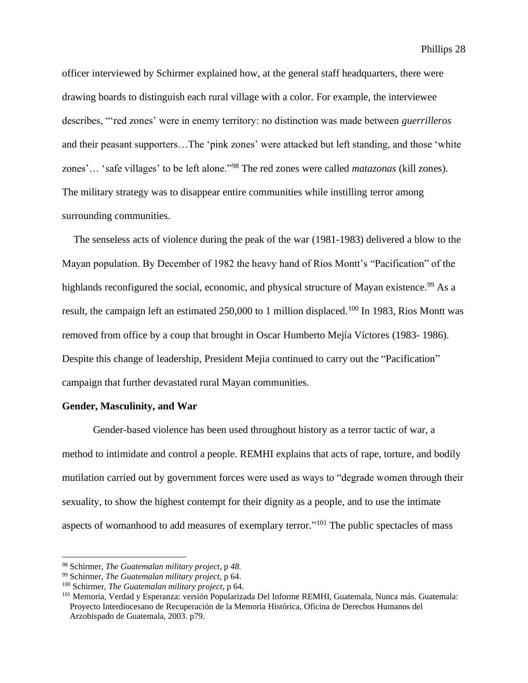officer interviewed by Schirmer explained how, at the general staff headquarters, there were drawing boards to distinguish each rural village with a color. For example, the interviewee describes, "'red zones' were in enemy territory: no distinction was made between *guerrilleros*  and their peasant supporters…The 'pink zones' were attacked but left standing, and those 'white zones'… 'safe villages' to be left alone."<sup>98</sup> The red zones were called *matazonas* (kill zones). The military strategy was to disappear entire communities while instilling terror among surrounding communities.

The senseless acts of violence during the peak of the war (1981-1983) delivered a blow to the Mayan population. By December of 1982 the heavy hand of Rios Montt's "Pacification" of the highlands reconfigured the social, economic, and physical structure of Mayan existence.<sup>99</sup> As a result, the campaign left an estimated 250,000 to 1 million displaced.<sup>100</sup> In 1983, Rios Montt was removed from office by a coup that brought in Oscar Humberto Mejía Víctores (1983- 1986). Despite this change of leadership, President Mejia continued to carry out the "Pacification" campaign that further devastated rural Mayan communities.

#### **Gender, Masculinity, and War**

Gender-based violence has been used throughout history as a terror tactic of war, a method to intimidate and control a people. REMHI explains that acts of rape, torture, and bodily mutilation carried out by government forces were used as ways to "degrade women through their sexuality, to show the highest contempt for their dignity as a people, and to use the intimate aspects of womanhood to add measures of exemplary terror."<sup>101</sup> The public spectacles of mass

<sup>98</sup> Schirmer, *The Guatemalan military project,* p *48.*

<sup>99</sup> Schirmer, *The Guatemalan military project*, p 64.

<sup>100</sup> Schirmer, *The Guatemalan military project*, p 64.

<sup>101</sup> Memoria, Verdad y Esperanza: versión Popularizada Del Informe REMHI, Guatemala, Nunca más. Guatemala: Proyecto Interdiocesano de Recuperación de la Memoria Histórica, Oficina de Derechos Humanos del Arzobispado de Guatemala, 2003. p79.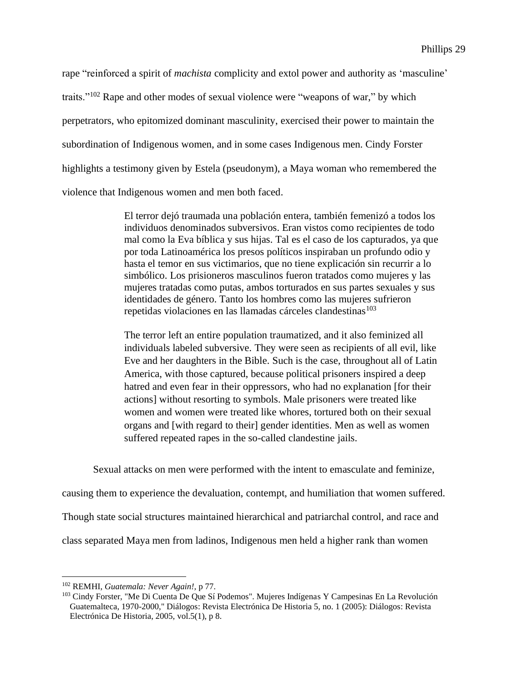rape "reinforced a spirit of *machista* complicity and extol power and authority as 'masculine' traits."<sup>102</sup> Rape and other modes of sexual violence were "weapons of war," by which perpetrators, who epitomized dominant masculinity, exercised their power to maintain the subordination of Indigenous women, and in some cases Indigenous men. Cindy Forster highlights a testimony given by Estela (pseudonym), a Maya woman who remembered the violence that Indigenous women and men both faced.

> El terror dejó traumada una población entera, también femenizó a todos los individuos denominados subversivos. Eran vistos como recipientes de todo mal como la Eva bíblica y sus hijas. Tal es el caso de los capturados, ya que por toda Latinoamérica los presos políticos inspiraban un profundo odio y hasta el temor en sus victimarios, que no tiene explicación sin recurrir a lo simbólico. Los prisioneros masculinos fueron tratados como mujeres y las mujeres tratadas como putas, ambos torturados en sus partes sexuales y sus identidades de género. Tanto los hombres como las mujeres sufrieron repetidas violaciones en las llamadas cárceles clandestinas<sup>103</sup>

> The terror left an entire population traumatized, and it also feminized all individuals labeled subversive. They were seen as recipients of all evil, like Eve and her daughters in the Bible. Such is the case, throughout all of Latin America, with those captured, because political prisoners inspired a deep hatred and even fear in their oppressors, who had no explanation [for their actions] without resorting to symbols. Male prisoners were treated like women and women were treated like whores, tortured both on their sexual organs and [with regard to their] gender identities. Men as well as women suffered repeated rapes in the so-called clandestine jails.

Sexual attacks on men were performed with the intent to emasculate and feminize,

causing them to experience the devaluation, contempt, and humiliation that women suffered.

Though state social structures maintained hierarchical and patriarchal control, and race and

class separated Maya men from ladinos, Indigenous men held a higher rank than women

<sup>102</sup> REMHI, *Guatemala: Never Again!,* p 77.

<sup>&</sup>lt;sup>103</sup> Cindy Forster, "Me Di Cuenta De Que Sí Podemos". Mujeres Indígenas Y Campesinas En La Revolución Guatemalteca, 1970-2000," Diálogos: Revista Electrónica De Historia 5, no. 1 (2005): Diálogos: Revista Electrónica De Historia, 2005, vol.5(1), p 8.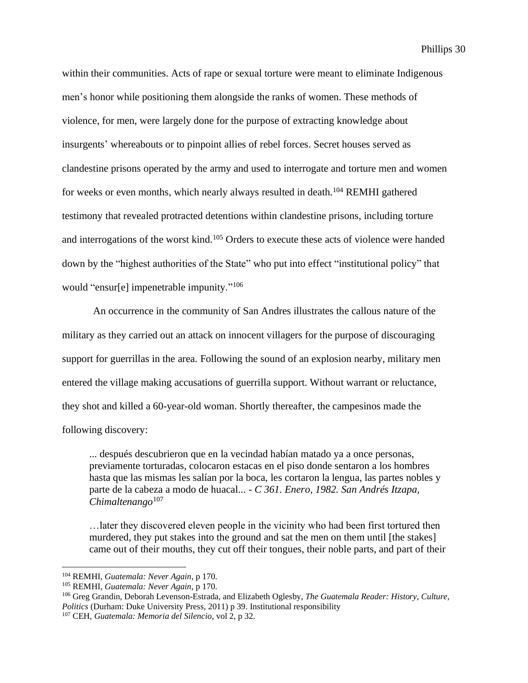within their communities. Acts of rape or sexual torture were meant to eliminate Indigenous men's honor while positioning them alongside the ranks of women. These methods of violence, for men, were largely done for the purpose of extracting knowledge about insurgents' whereabouts or to pinpoint allies of rebel forces. Secret houses served as clandestine prisons operated by the army and used to interrogate and torture men and women for weeks or even months, which nearly always resulted in death.<sup>104</sup> REMHI gathered testimony that revealed protracted detentions within clandestine prisons, including torture and interrogations of the worst kind.<sup>105</sup> Orders to execute these acts of violence were handed down by the "highest authorities of the State" who put into effect "institutional policy" that would "ensur[e] impenetrable impunity."<sup>106</sup>

An occurrence in the community of San Andres illustrates the callous nature of the military as they carried out an attack on innocent villagers for the purpose of discouraging support for guerrillas in the area. Following the sound of an explosion nearby, military men entered the village making accusations of guerrilla support. Without warrant or reluctance, they shot and killed a 60-year-old woman. Shortly thereafter, the campesinos made the following discovery:

... después descubrieron que en la vecindad habían matado ya a once personas, previamente torturadas, colocaron estacas en el piso donde sentaron a los hombres hasta que las mismas les salían por la boca, les cortaron la lengua, las partes nobles y parte de la cabeza a modo de huacal... - *C 361. Enero, 1982. San Andrés Itzapa, Chimaltenango*<sup>107</sup>

…later they discovered eleven people in the vicinity who had been first tortured then murdered, they put stakes into the ground and sat the men on them until [the stakes] came out of their mouths, they cut off their tongues, their noble parts, and part of their

<sup>104</sup> REMHI, *Guatemala: Never Again*, p 170.

<sup>105</sup> REMHI, *Guatemala: Never Again*, p 170.

<sup>106</sup> Greg Grandin, Deborah Levenson-Estrada, and Elizabeth Oglesby, *The Guatemala Reader: History, Culture, Politics* (Durham: Duke University Press, 2011) p 39. Institutional responsibility

<sup>107</sup> CEH, *Guatemala: Memoria del Silencio*, vol 2, p 32.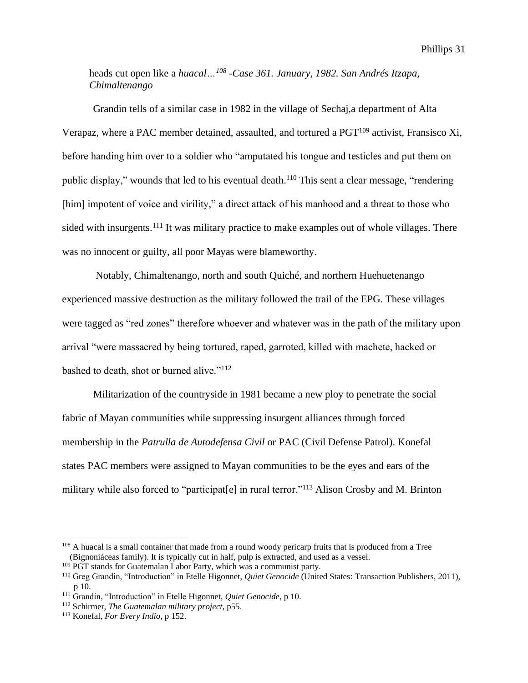heads cut open like a *huacal…<sup>108</sup> -Case 361. January, 1982. San Andrés Itzapa, Chimaltenango*

Grandin tells of a similar case in 1982 in the village of Sechaj,a department of Alta Verapaz, where a PAC member detained, assaulted, and tortured a  $PGT^{109}$  activist, Fransisco Xi, before handing him over to a soldier who "amputated his tongue and testicles and put them on public display," wounds that led to his eventual death.<sup>110</sup> This sent a clear message, "rendering [him] impotent of voice and virility," a direct attack of his manhood and a threat to those who sided with insurgents.<sup>111</sup> It was military practice to make examples out of whole villages. There was no innocent or guilty, all poor Mayas were blameworthy.

Notably, Chimaltenango, north and south Quiché, and northern Huehuetenango experienced massive destruction as the military followed the trail of the EPG. These villages were tagged as "red zones" therefore whoever and whatever was in the path of the military upon arrival "were massacred by being tortured, raped, garroted, killed with machete, hacked or bashed to death, shot or burned alive."<sup>112</sup>

Militarization of the countryside in 1981 became a new ploy to penetrate the social fabric of Mayan communities while suppressing insurgent alliances through forced membership in the *Patrulla de Autodefensa Civil* or PAC (Civil Defense Patrol). Konefal states PAC members were assigned to Mayan communities to be the eyes and ears of the military while also forced to "participat[e] in rural terror."<sup>113</sup> Alison Crosby and M. Brinton

<sup>&</sup>lt;sup>108</sup> A huacal is a small container that made from a round woody pericarp fruits that is produced from a Tree (Bignoniáceas family). It is typically cut in half, pulp is extracted, and used as a vessel.

<sup>&</sup>lt;sup>109</sup> PGT stands for Guatemalan Labor Party, which was a communist party.

<sup>110</sup> Greg Grandin, "Introduction" in Etelle Higonnet, *Quiet Genocide* (United States: Transaction Publishers, 2011), p 10.

<sup>111</sup> Grandin, "Introduction" in Etelle Higonnet, *Quiet Genocide*, p 10.

<sup>112</sup> Schirmer, *The Guatemalan military project*, p55.

<sup>113</sup> Konefal, *For Every Indio,* p 152.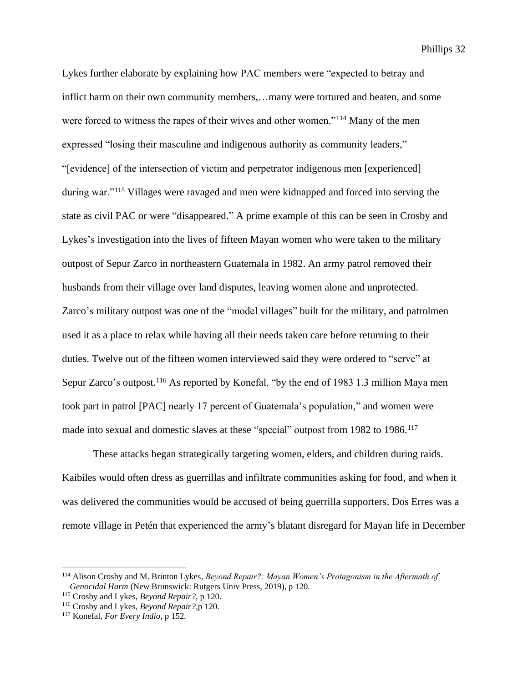Lykes further elaborate by explaining how PAC members were "expected to betray and inflict harm on their own community members,…many were tortured and beaten, and some were forced to witness the rapes of their wives and other women."<sup>114</sup> Many of the men expressed "losing their masculine and indigenous authority as community leaders," "[evidence] of the intersection of victim and perpetrator indigenous men [experienced] during war."<sup>115</sup> Villages were ravaged and men were kidnapped and forced into serving the state as civil PAC or were "disappeared." A prime example of this can be seen in Crosby and Lykes's investigation into the lives of fifteen Mayan women who were taken to the military outpost of Sepur Zarco in northeastern Guatemala in 1982. An army patrol removed their husbands from their village over land disputes, leaving women alone and unprotected. Zarco's military outpost was one of the "model villages" built for the military, and patrolmen used it as a place to relax while having all their needs taken care before returning to their duties. Twelve out of the fifteen women interviewed said they were ordered to "serve" at Sepur Zarco's outpost.<sup>116</sup> As reported by Konefal, "by the end of 1983 1.3 million Maya men took part in patrol [PAC] nearly 17 percent of Guatemala's population," and women were made into sexual and domestic slaves at these "special" outpost from 1982 to 1986.<sup>117</sup>

These attacks began strategically targeting women, elders, and children during raids. Kaibiles would often dress as guerrillas and infiltrate communities asking for food, and when it was delivered the communities would be accused of being guerrilla supporters. Dos Erres was a remote village in Petén that experienced the army's blatant disregard for Mayan life in December

<sup>114</sup> Alison Crosby and M. Brinton Lykes, *Beyond Repair?: Mayan Women's Protagonism in the Aftermath of Genocidal Harm* (New Brunswick: Rutgers Univ Press, 2019), p 120.

<sup>115</sup> Crosby and Lykes, *Beyond Repair?,* p 120.

<sup>116</sup> Crosby and Lykes, *Beyond Repair?,*p 120.

<sup>117</sup> Konefal, *For Every Indio,* p 152*.*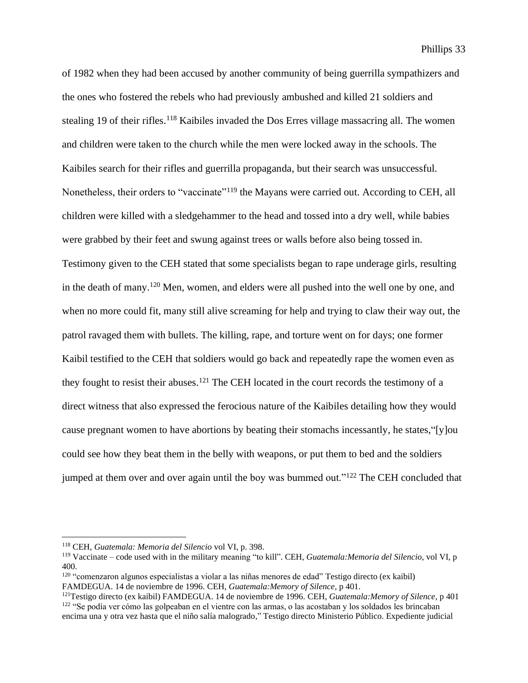of 1982 when they had been accused by another community of being guerrilla sympathizers and the ones who fostered the rebels who had previously ambushed and killed 21 soldiers and stealing 19 of their rifles.<sup>118</sup> Kaibiles invaded the Dos Erres village massacring all. The women and children were taken to the church while the men were locked away in the schools. The Kaibiles search for their rifles and guerrilla propaganda, but their search was unsuccessful. Nonetheless, their orders to "vaccinate"<sup>119</sup> the Mayans were carried out. According to CEH, all children were killed with a sledgehammer to the head and tossed into a dry well, while babies were grabbed by their feet and swung against trees or walls before also being tossed in. Testimony given to the CEH stated that some specialists began to rape underage girls, resulting in the death of many.<sup>120</sup> Men, women, and elders were all pushed into the well one by one, and when no more could fit, many still alive screaming for help and trying to claw their way out, the patrol ravaged them with bullets. The killing, rape, and torture went on for days; one former Kaibil testified to the CEH that soldiers would go back and repeatedly rape the women even as they fought to resist their abuses.<sup>121</sup> The CEH located in the court records the testimony of a direct witness that also expressed the ferocious nature of the Kaibiles detailing how they would cause pregnant women to have abortions by beating their stomachs incessantly, he states,"[y]ou could see how they beat them in the belly with weapons, or put them to bed and the soldiers jumped at them over and over again until the boy was bummed out."<sup>122</sup> The CEH concluded that

<sup>118</sup> CEH, *Guatemala: Memoria del Silencio* vol VI, p. 398.

<sup>119</sup> Vaccinate – code used with in the military meaning "to kill". CEH, *Guatemala:Memoria del Silencio*, vol VI, p 400.

<sup>120</sup> "comenzaron algunos especialistas a violar a las niñas menores de edad" Testigo directo (ex kaibil) FAMDEGUA. 14 de noviembre de 1996. CEH, *Guatemala:Memory of Silence*, p 401.

<sup>121</sup>Testigo directo (ex kaibil) FAMDEGUA. 14 de noviembre de 1996. CEH, *Guatemala:Memory of Silence*, p 401 <sup>122</sup> "Se podía ver cómo las golpeaban en el vientre con las armas, o las acostaban y los soldados les brincaban encima una y otra vez hasta que el niño salía malogrado," Testigo directo Ministerio Público. Expediente judicial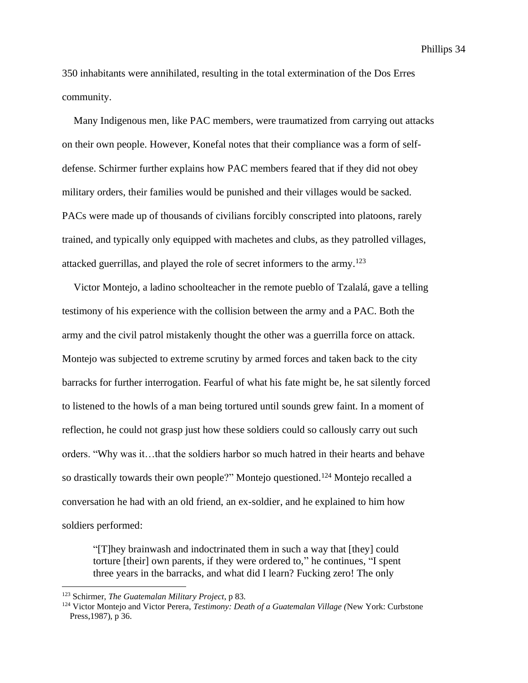350 inhabitants were annihilated, resulting in the total extermination of the Dos Erres community.

Many Indigenous men, like PAC members, were traumatized from carrying out attacks on their own people. However, Konefal notes that their compliance was a form of selfdefense. Schirmer further explains how PAC members feared that if they did not obey military orders, their families would be punished and their villages would be sacked. PACs were made up of thousands of civilians forcibly conscripted into platoons, rarely trained, and typically only equipped with machetes and clubs, as they patrolled villages, attacked guerrillas, and played the role of secret informers to the army. 123

Victor Montejo, a ladino schoolteacher in the remote pueblo of Tzalalá, gave a telling testimony of his experience with the collision between the army and a PAC. Both the army and the civil patrol mistakenly thought the other was a guerrilla force on attack. Montejo was subjected to extreme scrutiny by armed forces and taken back to the city barracks for further interrogation. Fearful of what his fate might be, he sat silently forced to listened to the howls of a man being tortured until sounds grew faint. In a moment of reflection, he could not grasp just how these soldiers could so callously carry out such orders. "Why was it…that the soldiers harbor so much hatred in their hearts and behave so drastically towards their own people?" Montejo questioned. <sup>124</sup> Montejo recalled a conversation he had with an old friend, an ex-soldier, and he explained to him how soldiers performed:

"[T]hey brainwash and indoctrinated them in such a way that [they] could torture [their] own parents, if they were ordered to," he continues, "I spent three years in the barracks, and what did I learn? Fucking zero! The only

<sup>123</sup> Schirmer, *The Guatemalan Military Project*, p 83.

<sup>124</sup> Victor Montejo and Victor Perera, *Testimony: Death of a Guatemalan Village (*New York: Curbstone Press,1987), p 36.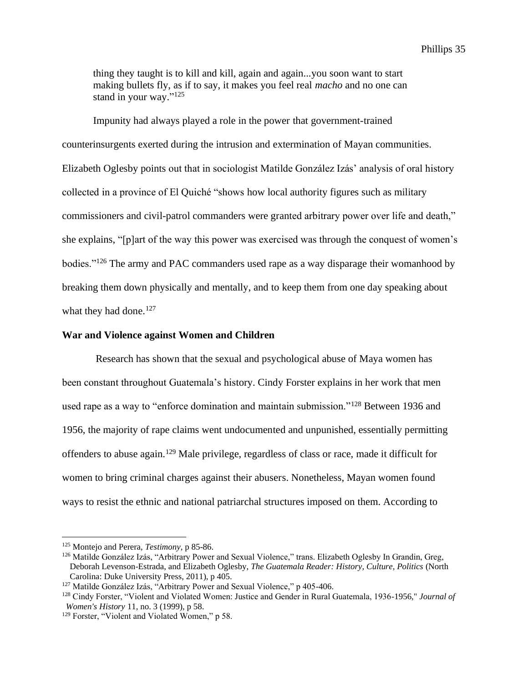thing they taught is to kill and kill, again and again...you soon want to start making bullets fly, as if to say, it makes you feel real *macho* and no one can stand in your way."<sup>125</sup>

Impunity had always played a role in the power that government-trained counterinsurgents exerted during the intrusion and extermination of Mayan communities. Elizabeth Oglesby points out that in sociologist Matilde González Izás' analysis of oral history collected in a province of El Quiché "shows how local authority figures such as military commissioners and civil-patrol commanders were granted arbitrary power over life and death," she explains, "[p]art of the way this power was exercised was through the conquest of women's bodies."<sup>126</sup> The army and PAC commanders used rape as a way disparage their womanhood by breaking them down physically and mentally, and to keep them from one day speaking about what they had done.<sup>127</sup>

#### **War and Violence against Women and Children**

Research has shown that the sexual and psychological abuse of Maya women has been constant throughout Guatemala's history. Cindy Forster explains in her work that men used rape as a way to "enforce domination and maintain submission."<sup>128</sup> Between 1936 and 1956, the majority of rape claims went undocumented and unpunished, essentially permitting offenders to abuse again.<sup>129</sup> Male privilege, regardless of class or race, made it difficult for women to bring criminal charges against their abusers. Nonetheless, Mayan women found ways to resist the ethnic and national patriarchal structures imposed on them. According to

<sup>125</sup> Montejo and Perera, *Testimony*, p 85-86.

<sup>126</sup> Matilde González Izás, "Arbitrary Power and Sexual Violence," trans. Elizabeth Oglesby In Grandin, Greg, Deborah Levenson-Estrada, and Elizabeth Oglesby, *The Guatemala Reader: History, Culture, Politics* (North Carolina: Duke University Press, 2011), p 405.

<sup>127</sup> Matilde González Izás, "Arbitrary Power and Sexual Violence," p 405-406.

<sup>128</sup> Cindy Forster, "Violent and Violated Women: Justice and Gender in Rural Guatemala, 1936-1956," *Journal of Women's History* 11, no. 3 (1999), p 58.

<sup>&</sup>lt;sup>129</sup> Forster, "Violent and Violated Women," p 58.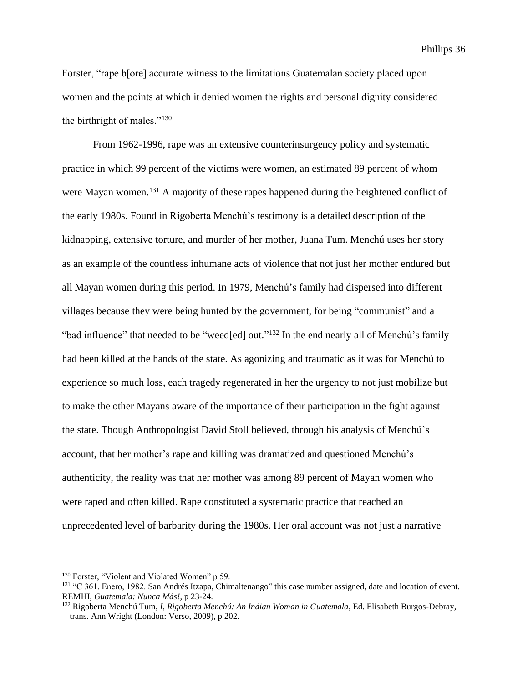Phillips 36

Forster, "rape b[ore] accurate witness to the limitations Guatemalan society placed upon women and the points at which it denied women the rights and personal dignity considered the birthright of males."<sup>130</sup>

From 1962-1996, rape was an extensive counterinsurgency policy and systematic practice in which 99 percent of the victims were women, an estimated 89 percent of whom were Mayan women.<sup>131</sup> A majority of these rapes happened during the heightened conflict of the early 1980s. Found in Rigoberta Menchú's testimony is a detailed description of the kidnapping, extensive torture, and murder of her mother, Juana Tum. Menchú uses her story as an example of the countless inhumane acts of violence that not just her mother endured but all Mayan women during this period. In 1979, Menchú's family had dispersed into different villages because they were being hunted by the government, for being "communist" and a "bad influence" that needed to be "weed[ed] out."<sup>132</sup> In the end nearly all of Menchú's family had been killed at the hands of the state. As agonizing and traumatic as it was for Menchú to experience so much loss, each tragedy regenerated in her the urgency to not just mobilize but to make the other Mayans aware of the importance of their participation in the fight against the state. Though Anthropologist David Stoll believed, through his analysis of Menchú's account, that her mother's rape and killing was dramatized and questioned Menchú's authenticity, the reality was that her mother was among 89 percent of Mayan women who were raped and often killed. Rape constituted a systematic practice that reached an unprecedented level of barbarity during the 1980s. Her oral account was not just a narrative

<sup>&</sup>lt;sup>130</sup> Forster, "Violent and Violated Women" p 59.

<sup>&</sup>lt;sup>131</sup> "C 361. Enero, 1982. San Andrés Itzapa, Chimaltenango" this case number assigned, date and location of event. REMHI, *Guatemala: Nunca Más!*, p 23-24.

<sup>132</sup> Rigoberta Menchú Tum, *I, Rigoberta Menchú: An Indian Woman in Guatemala*, Ed. Elisabeth Burgos-Debray, trans. Ann Wright (London: Verso, 2009), p 202.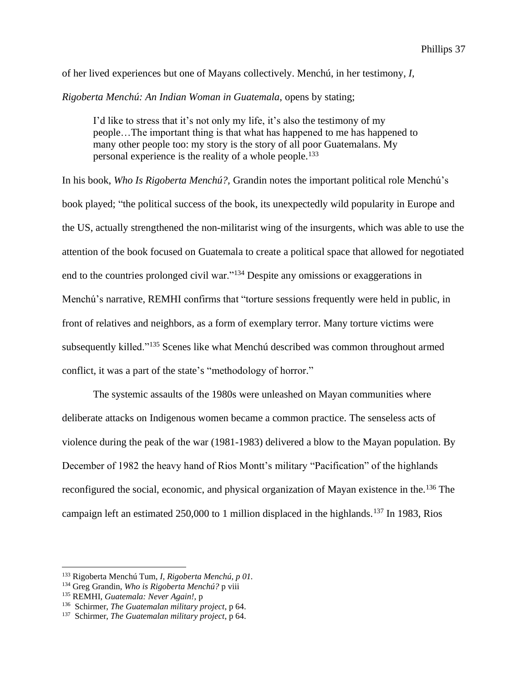of her lived experiences but one of Mayans collectively. Menchú, in her testimony, *I,* 

*Rigoberta Menchú: An Indian Woman in Guatemala*, opens by stating;

I'd like to stress that it's not only my life, it's also the testimony of my people…The important thing is that what has happened to me has happened to many other people too: my story is the story of all poor Guatemalans. My personal experience is the reality of a whole people. 133

In his book, *Who Is Rigoberta Menchú?,* Grandin notes the important political role Menchú's book played; "the political success of the book, its unexpectedly wild popularity in Europe and the US, actually strengthened the non-militarist wing of the insurgents, which was able to use the attention of the book focused on Guatemala to create a political space that allowed for negotiated end to the countries prolonged civil war."<sup>134</sup> Despite any omissions or exaggerations in Menchú's narrative, REMHI confirms that "torture sessions frequently were held in public, in front of relatives and neighbors, as a form of exemplary terror. Many torture victims were subsequently killed."<sup>135</sup> Scenes like what Menchú described was common throughout armed conflict, it was a part of the state's "methodology of horror."

The systemic assaults of the 1980s were unleashed on Mayan communities where deliberate attacks on Indigenous women became a common practice. The senseless acts of violence during the peak of the war (1981-1983) delivered a blow to the Mayan population. By December of 1982 the heavy hand of Rios Montt's military "Pacification" of the highlands reconfigured the social, economic, and physical organization of Mayan existence in the.<sup>136</sup> The campaign left an estimated 250,000 to 1 million displaced in the highlands.<sup>137</sup> In 1983, Rios

<sup>133</sup> Rigoberta Menchú Tum, *I, Rigoberta Menchú, p 01.*

<sup>134</sup> Greg Grandin, *Who is Rigoberta Menchú?* p viii

<sup>135</sup> REMHI, *Guatemala: Never Again!,* p

<sup>136</sup> Schirmer, *The Guatemalan military project*, p 64.

<sup>137</sup> Schirmer, *The Guatemalan military project*, p 64.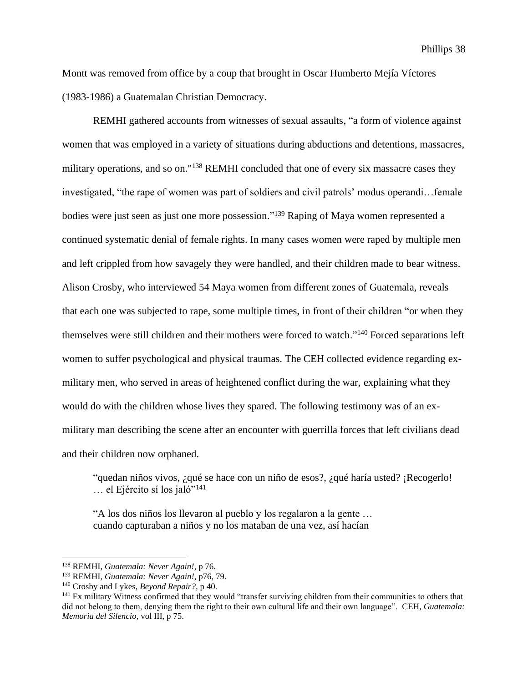Montt was removed from office by a coup that brought in Oscar Humberto Mejía Víctores (1983-1986) a Guatemalan Christian Democracy.

REMHI gathered accounts from witnesses of sexual assaults, "a form of violence against women that was employed in a variety of situations during abductions and detentions, massacres, military operations, and so on."<sup>138</sup> REMHI concluded that one of every six massacre cases they investigated, "the rape of women was part of soldiers and civil patrols' modus operandi…female bodies were just seen as just one more possession." <sup>139</sup> Raping of Maya women represented a continued systematic denial of female rights. In many cases women were raped by multiple men and left crippled from how savagely they were handled, and their children made to bear witness. Alison Crosby, who interviewed 54 Maya women from different zones of Guatemala, reveals that each one was subjected to rape, some multiple times, in front of their children "or when they themselves were still children and their mothers were forced to watch."<sup>140</sup> Forced separations left women to suffer psychological and physical traumas. The CEH collected evidence regarding exmilitary men, who served in areas of heightened conflict during the war, explaining what they would do with the children whose lives they spared. The following testimony was of an exmilitary man describing the scene after an encounter with guerrilla forces that left civilians dead and their children now orphaned.

"quedan niños vivos, ¿qué se hace con un niño de esos?, ¿qué haría usted? ¡Recogerlo! … el Ejército sí los jaló"<sup>141</sup>

"A los dos niños los llevaron al pueblo y los regalaron a la gente … cuando capturaban a niños y no los mataban de una vez, así hacían

<sup>138</sup> REMHI, *Guatemala: Never Again!*, p 76.

<sup>139</sup> REMHI, *Guatemala: Never Again!,* p76, 79.

<sup>140</sup> Crosby and Lykes, *Beyond Repair?,* p 40.

<sup>141</sup> Ex military Witness confirmed that they would "transfer surviving children from their communities to others that did not belong to them, denying them the right to their own cultural life and their own language". CEH, *Guatemala: Memoria del Silencio*, vol III, p 75.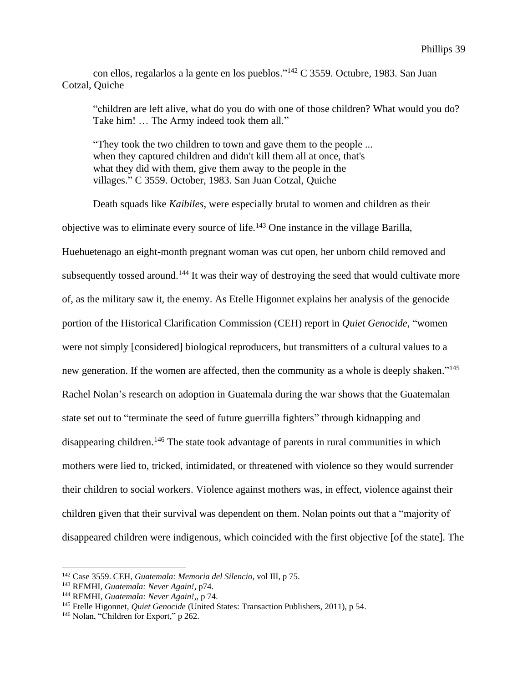con ellos, regalarlos a la gente en los pueblos." <sup>142</sup> C 3559. Octubre, 1983. San Juan Cotzal, Quiche

"children are left alive, what do you do with one of those children? What would you do? Take him! … The Army indeed took them all."

"They took the two children to town and gave them to the people ... when they captured children and didn't kill them all at once, that's what they did with them, give them away to the people in the villages." C 3559. October, 1983. San Juan Cotzal, Quiche

Death squads like *Kaibiles*, were especially brutal to women and children as their objective was to eliminate every source of life.<sup>143</sup> One instance in the village Barilla, Huehuetenago an eight-month pregnant woman was cut open, her unborn child removed and subsequently tossed around.<sup>144</sup> It was their way of destroying the seed that would cultivate more of, as the military saw it, the enemy. As Etelle Higonnet explains her analysis of the genocide portion of the Historical Clarification Commission (CEH) report in *Quiet Genocide*, "women were not simply [considered] biological reproducers, but transmitters of a cultural values to a new generation. If the women are affected, then the community as a whole is deeply shaken."<sup>145</sup> Rachel Nolan's research on adoption in Guatemala during the war shows that the Guatemalan state set out to "terminate the seed of future guerrilla fighters" through kidnapping and disappearing children.<sup>146</sup> The state took advantage of parents in rural communities in which mothers were lied to, tricked, intimidated, or threatened with violence so they would surrender their children to social workers. Violence against mothers was, in effect, violence against their children given that their survival was dependent on them. Nolan points out that a "majority of disappeared children were indigenous, which coincided with the first objective [of the state]. The

<sup>142</sup> Case 3559. CEH, *Guatemala: Memoria del Silencio*, vol III, p 75.

<sup>143</sup> REMHI, *Guatemala: Never Again!*, p74.

<sup>144</sup> REMHI, *Guatemala: Never Again!*,, p 74.

<sup>145</sup> Etelle Higonnet, *Quiet Genocide* (United States: Transaction Publishers, 2011), p 54.

<sup>&</sup>lt;sup>146</sup> Nolan, "Children for Export," p 262.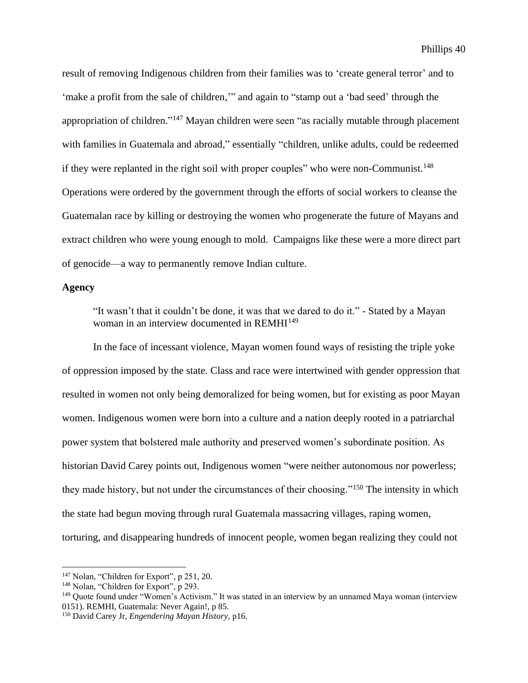result of removing Indigenous children from their families was to 'create general terror' and to 'make a profit from the sale of children,'" and again to "stamp out a 'bad seed' through the appropriation of children."<sup>147</sup> Mayan children were seen "as racially mutable through placement with families in Guatemala and abroad," essentially "children, unlike adults, could be redeemed if they were replanted in the right soil with proper couples" who were non-Communist.<sup>148</sup> Operations were ordered by the government through the efforts of social workers to cleanse the Guatemalan race by killing or destroying the women who progenerate the future of Mayans and extract children who were young enough to mold. Campaigns like these were a more direct part of genocide—a way to permanently remove Indian culture.

## **Agency**

"It wasn't that it couldn't be done, it was that we dared to do it." - Stated by a Mayan woman in an interview documented in REMHI<sup>149</sup>

In the face of incessant violence, Mayan women found ways of resisting the triple yoke of oppression imposed by the state. Class and race were intertwined with gender oppression that resulted in women not only being demoralized for being women, but for existing as poor Mayan women. Indigenous women were born into a culture and a nation deeply rooted in a patriarchal power system that bolstered male authority and preserved women's subordinate position. As historian David Carey points out, Indigenous women "were neither autonomous nor powerless; they made history, but not under the circumstances of their choosing."<sup>150</sup> The intensity in which the state had begun moving through rural Guatemala massacring villages, raping women, torturing, and disappearing hundreds of innocent people, women began realizing they could not

<sup>147</sup> Nolan, "Children for Export", p 251, 20.

<sup>&</sup>lt;sup>148</sup> Nolan, "Children for Export", p 293.

<sup>149</sup> Quote found under "Women's Activism." It was stated in an interview by an unnamed Maya woman (interview 0151). REMHI, Guatemala: Never Again!, p 85.

<sup>150</sup> David Carey Jr, *Engendering Mayan History,* p16.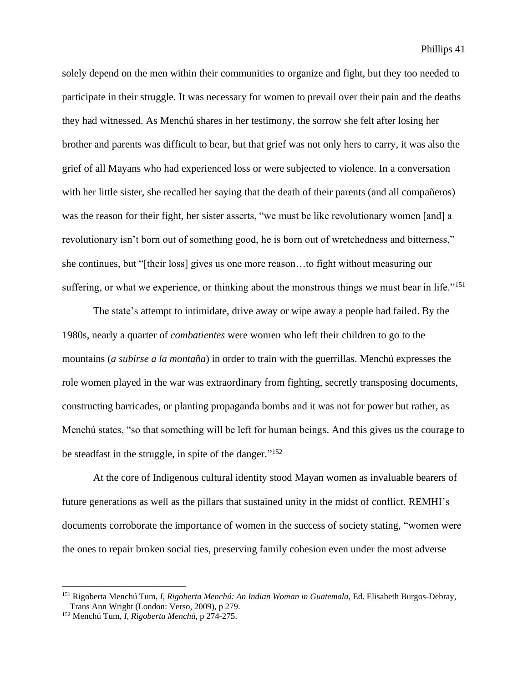solely depend on the men within their communities to organize and fight, but they too needed to participate in their struggle. It was necessary for women to prevail over their pain and the deaths they had witnessed. As Menchú shares in her testimony, the sorrow she felt after losing her brother and parents was difficult to bear, but that grief was not only hers to carry, it was also the grief of all Mayans who had experienced loss or were subjected to violence. In a conversation with her little sister, she recalled her saying that the death of their parents (and all compañeros) was the reason for their fight, her sister asserts, "we must be like revolutionary women [and] a revolutionary isn't born out of something good, he is born out of wretchedness and bitterness," she continues, but "[their loss] gives us one more reason…to fight without measuring our suffering, or what we experience, or thinking about the monstrous things we must bear in life."<sup>151</sup>

The state's attempt to intimidate, drive away or wipe away a people had failed. By the 1980s, nearly a quarter of *combatientes* were women who left their children to go to the mountains (*a subirse a la montaña*) in order to train with the guerrillas. Menchú expresses the role women played in the war was extraordinary from fighting, secretly transposing documents, constructing barricades, or planting propaganda bombs and it was not for power but rather, as Menchú states, "so that something will be left for human beings. And this gives us the courage to be steadfast in the struggle, in spite of the danger."<sup>152</sup>

At the core of Indigenous cultural identity stood Mayan women as invaluable bearers of future generations as well as the pillars that sustained unity in the midst of conflict. REMHI's documents corroborate the importance of women in the success of society stating, "women were the ones to repair broken social ties, preserving family cohesion even under the most adverse

<sup>151</sup> Rigoberta Menchú Tum, *I, Rigoberta Menchú: An Indian Woman in Guatemala*, Ed. Elisabeth Burgos-Debray, Trans Ann Wright (London: Verso, 2009), p 279.

<sup>152</sup> Menchú Tum, *I, Rigoberta Menchú,* p 274-275.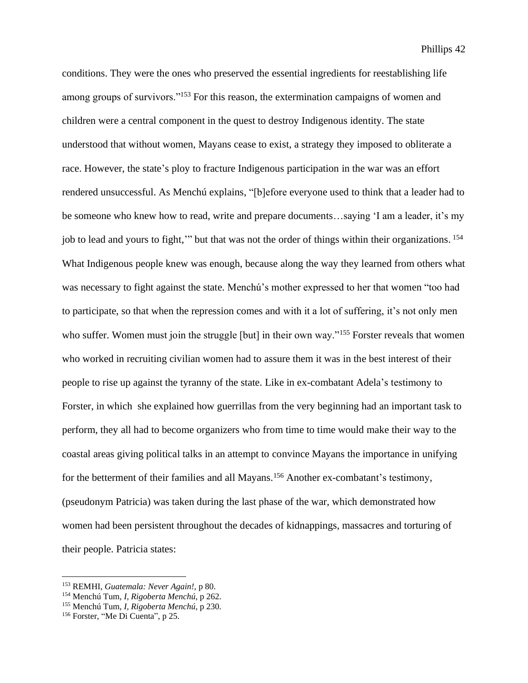conditions. They were the ones who preserved the essential ingredients for reestablishing life among groups of survivors."<sup>153</sup> For this reason, the extermination campaigns of women and children were a central component in the quest to destroy Indigenous identity. The state understood that without women, Mayans cease to exist, a strategy they imposed to obliterate a race. However, the state's ploy to fracture Indigenous participation in the war was an effort rendered unsuccessful. As Menchú explains, "[b]efore everyone used to think that a leader had to be someone who knew how to read, write and prepare documents…saying 'I am a leader, it's my job to lead and yours to fight,'" but that was not the order of things within their organizations. 154 What Indigenous people knew was enough, because along the way they learned from others what was necessary to fight against the state. Menchú's mother expressed to her that women "too had to participate, so that when the repression comes and with it a lot of suffering, it's not only men who suffer. Women must join the struggle [but] in their own way."<sup>155</sup> Forster reveals that women who worked in recruiting civilian women had to assure them it was in the best interest of their people to rise up against the tyranny of the state. Like in ex-combatant Adela's testimony to Forster, in which she explained how guerrillas from the very beginning had an important task to perform, they all had to become organizers who from time to time would make their way to the coastal areas giving political talks in an attempt to convince Mayans the importance in unifying for the betterment of their families and all Mayans.<sup>156</sup> Another ex-combatant's testimony, (pseudonym Patricia) was taken during the last phase of the war, which demonstrated how women had been persistent throughout the decades of kidnappings, massacres and torturing of their people. Patricia states:

<sup>153</sup> REMHI, *Guatemala: Never Again!,* p 80.

<sup>154</sup> Menchú Tum, *I, Rigoberta Menchú*, p 262.

<sup>155</sup> Menchú Tum, *I, Rigoberta Menchú*, p 230.

<sup>156</sup> Forster, "Me Di Cuenta", p 25.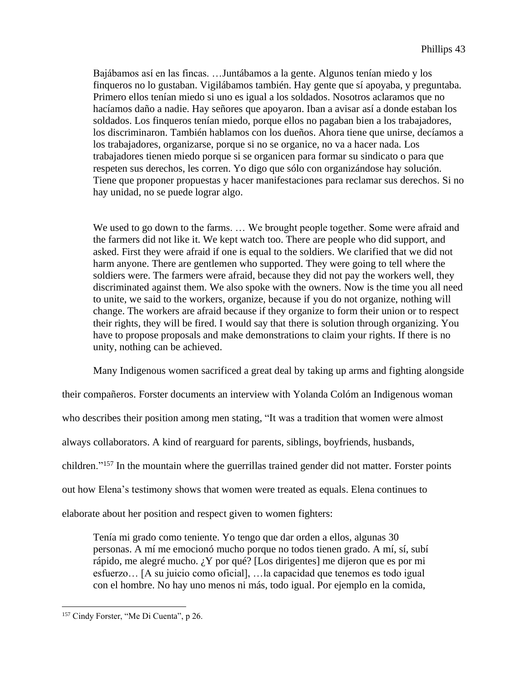Bajábamos así en las fincas. …Juntábamos a la gente. Algunos tenían miedo y los finqueros no lo gustaban. Vigilábamos también. Hay gente que sí apoyaba, y preguntaba. Primero ellos tenían miedo si uno es igual a los soldados. Nosotros aclaramos que no hacíamos daño a nadie. Hay señores que apoyaron. Iban a avisar así a donde estaban los soldados. Los finqueros tenían miedo, porque ellos no pagaban bien a los trabajadores, los discriminaron. También hablamos con los dueños. Ahora tiene que unirse, decíamos a los trabajadores, organizarse, porque si no se organice, no va a hacer nada. Los trabajadores tienen miedo porque si se organicen para formar su sindicato o para que respeten sus derechos, les corren. Yo digo que sólo con organizándose hay solución. Tiene que proponer propuestas y hacer manifestaciones para reclamar sus derechos. Si no hay unidad, no se puede lograr algo.

We used to go down to the farms. ... We brought people together. Some were afraid and the farmers did not like it. We kept watch too. There are people who did support, and asked. First they were afraid if one is equal to the soldiers. We clarified that we did not harm anyone. There are gentlemen who supported. They were going to tell where the soldiers were. The farmers were afraid, because they did not pay the workers well, they discriminated against them. We also spoke with the owners. Now is the time you all need to unite, we said to the workers, organize, because if you do not organize, nothing will change. The workers are afraid because if they organize to form their union or to respect their rights, they will be fired. I would say that there is solution through organizing. You have to propose proposals and make demonstrations to claim your rights. If there is no unity, nothing can be achieved.

Many Indigenous women sacrificed a great deal by taking up arms and fighting alongside

their compañeros. Forster documents an interview with Yolanda Colóm an Indigenous woman

who describes their position among men stating, "It was a tradition that women were almost

always collaborators. A kind of rearguard for parents, siblings, boyfriends, husbands,

children."<sup>157</sup> In the mountain where the guerrillas trained gender did not matter. Forster points

out how Elena's testimony shows that women were treated as equals. Elena continues to

elaborate about her position and respect given to women fighters:

Tenía mi grado como teniente. Yo tengo que dar orden a ellos, algunas 30 personas. A mí me emocionó mucho porque no todos tienen grado. A mí, sí, subí rápido, me alegré mucho. ¿Y por qué? [Los dirigentes] me dijeron que es por mi esfuerzo… [A su juicio como oficial], …la capacidad que tenemos es todo igual con el hombre. No hay uno menos ni más, todo igual. Por ejemplo en la comida,

<sup>&</sup>lt;sup>157</sup> Cindy Forster, "Me Di Cuenta", p 26.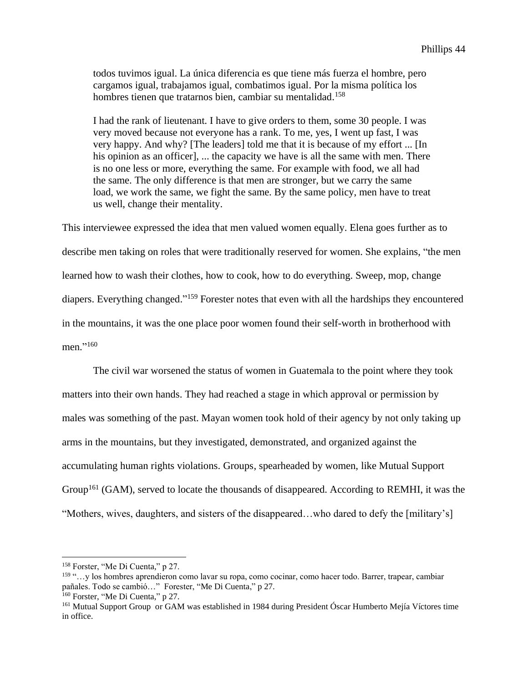todos tuvimos igual. La única diferencia es que tiene más fuerza el hombre, pero cargamos igual, trabajamos igual, combatimos igual. Por la misma política los hombres tienen que tratarnos bien, cambiar su mentalidad.<sup>158</sup>

I had the rank of lieutenant. I have to give orders to them, some 30 people. I was very moved because not everyone has a rank. To me, yes, I went up fast, I was very happy. And why? [The leaders] told me that it is because of my effort ... [In his opinion as an officer], ... the capacity we have is all the same with men. There is no one less or more, everything the same. For example with food, we all had the same. The only difference is that men are stronger, but we carry the same load, we work the same, we fight the same. By the same policy, men have to treat us well, change their mentality.

This interviewee expressed the idea that men valued women equally. Elena goes further as to describe men taking on roles that were traditionally reserved for women. She explains, "the men learned how to wash their clothes, how to cook, how to do everything. Sweep, mop, change diapers. Everything changed."<sup>159</sup> Forester notes that even with all the hardships they encountered in the mountains, it was the one place poor women found their self-worth in brotherhood with men." 160

The civil war worsened the status of women in Guatemala to the point where they took matters into their own hands. They had reached a stage in which approval or permission by males was something of the past. Mayan women took hold of their agency by not only taking up arms in the mountains, but they investigated, demonstrated, and organized against the accumulating human rights violations. Groups, spearheaded by women, like Mutual Support Group<sup>161</sup> (GAM), served to locate the thousands of disappeared. According to REMHI, it was the "Mothers, wives, daughters, and sisters of the disappeared…who dared to defy the [military's]

<sup>158</sup> Forster, "Me Di Cuenta," p 27.

<sup>159</sup> "…y los hombres aprendieron como lavar su ropa, como cocinar, como hacer todo. Barrer, trapear, cambiar pañales. Todo se cambió…" Forester, "Me Di Cuenta," p 27.

<sup>160</sup> Forster, "Me Di Cuenta," p 27.

<sup>161</sup> Mutual Support Group or GAM was established in 1984 during President Óscar Humberto Mejía Víctores time in office.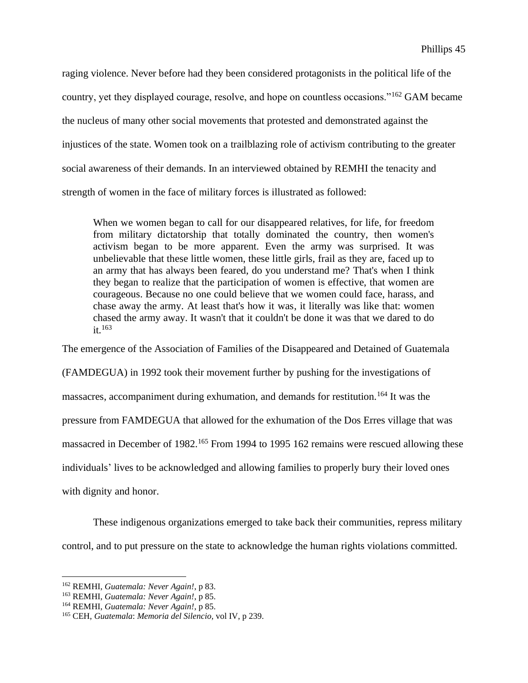raging violence. Never before had they been considered protagonists in the political life of the country, yet they displayed courage, resolve, and hope on countless occasions."<sup>162</sup> GAM became the nucleus of many other social movements that protested and demonstrated against the injustices of the state. Women took on a trailblazing role of activism contributing to the greater social awareness of their demands. In an interviewed obtained by REMHI the tenacity and strength of women in the face of military forces is illustrated as followed:

When we women began to call for our disappeared relatives, for life, for freedom from military dictatorship that totally dominated the country, then women's activism began to be more apparent. Even the army was surprised. It was unbelievable that these little women, these little girls, frail as they are, faced up to an army that has always been feared, do you understand me? That's when I think they began to realize that the participation of women is effective, that women are courageous. Because no one could believe that we women could face, harass, and chase away the army. At least that's how it was, it literally was like that: women chased the army away. It wasn't that it couldn't be done it was that we dared to do  $it<sup>163</sup>$ 

The emergence of the Association of Families of the Disappeared and Detained of Guatemala

(FAMDEGUA) in 1992 took their movement further by pushing for the investigations of massacres, accompaniment during exhumation, and demands for restitution.<sup>164</sup> It was the pressure from FAMDEGUA that allowed for the exhumation of the Dos Erres village that was massacred in December of 1982.<sup>165</sup> From 1994 to 1995 162 remains were rescued allowing these individuals' lives to be acknowledged and allowing families to properly bury their loved ones with dignity and honor.

These indigenous organizations emerged to take back their communities, repress military control, and to put pressure on the state to acknowledge the human rights violations committed.

<sup>162</sup> REMHI, *Guatemala: Never Again!*, p 83.

<sup>163</sup> REMHI, *Guatemala: Never Again!*, p 85.

<sup>164</sup> REMHI, *Guatemala: Never Again!*, p 85.

<sup>165</sup> CEH, *Guatemala*: *Memoria del Silencio,* vol IV, p 239.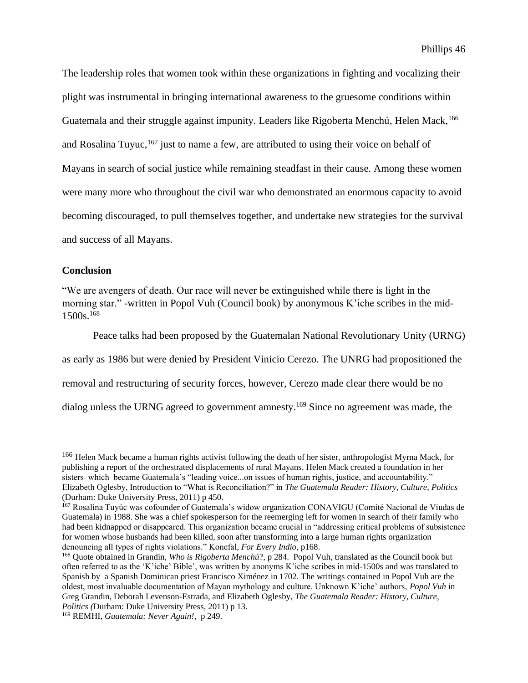The leadership roles that women took within these organizations in fighting and vocalizing their plight was instrumental in bringing international awareness to the gruesome conditions within Guatemala and their struggle against impunity. Leaders like Rigoberta Menchú, Helen Mack, <sup>166</sup> and Rosalina Tuyuc, <sup>167</sup> just to name a few, are attributed to using their voice on behalf of Mayans in search of social justice while remaining steadfast in their cause. Among these women were many more who throughout the civil war who demonstrated an enormous capacity to avoid becoming discouraged, to pull themselves together, and undertake new strategies for the survival and success of all Mayans.

## **Conclusion**

"We are avengers of death. Our race will never be extinguished while there is light in the morning star." -written in Popol Vuh (Council book) by anonymous K'iche scribes in the mid-1500s. 168

Peace talks had been proposed by the Guatemalan National Revolutionary Unity (URNG) as early as 1986 but were denied by President Vinicio Cerezo. The UNRG had propositioned the removal and restructuring of security forces, however, Cerezo made clear there would be no dialog unless the URNG agreed to government amnesty.<sup>169</sup> Since no agreement was made, the

<sup>&</sup>lt;sup>166</sup> Helen Mack became a human rights activist following the death of her sister, anthropologist Myrna Mack, for publishing a report of the orchestrated displacements of rural Mayans. Helen Mack created a foundation in her sisters which became Guatemala's "leading voice...on issues of human rights, justice, and accountability." Elizabeth Oglesby, Introduction to "What is Reconciliation?" in *The Guatemala Reader: History, Culture, Politics*  (Durham: Duke University Press, 2011) p 450.

<sup>167</sup> Rosalina Tuyúc was cofounder of Guatemala's widow organization CONAVIGU (Comité Nacional de Viudas de Guatemala) in 1988. She was a chief spokesperson for the reemerging left for women in search of their family who had been kidnapped or disappeared. This organization became crucial in "addressing critical problems of subsistence for women whose husbands had been killed, soon after transforming into a large human rights organization denouncing all types of rights violations." Konefal, *For Every Indio*, p168.

<sup>168</sup> Quote obtained in Grandin, *Who is Rigoberta Menchú*?, p 284. Popol Vuh, translated as the Council book but often referred to as the 'K'iche' Bible', was written by anonyms K'iche scribes in mid-1500s and was translated to Spanish by a Spanish Dominican priest Francisco Ximénez in 1702. The writings contained in Popol Vuh are the oldest, most invaluable documentation of Mayan mythology and culture. Unknown K'iche' authors, *Popol Vuh* in Greg Grandin, Deborah Levenson-Estrada, and Elizabeth Oglesby, *The Guatemala Reader: History, Culture, Politics (*Durham: Duke University Press, 2011) p 13.

<sup>169</sup> REMHI, *Guatemala: Never Again!*, p 249.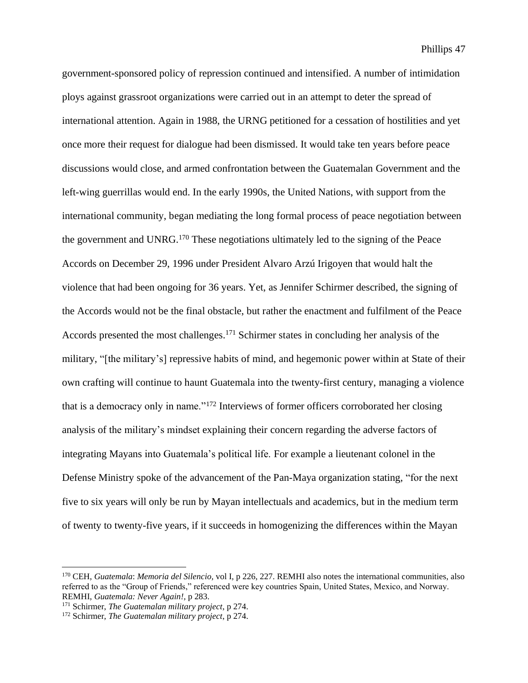government-sponsored policy of repression continued and intensified. A number of intimidation ploys against grassroot organizations were carried out in an attempt to deter the spread of international attention. Again in 1988, the URNG petitioned for a cessation of hostilities and yet once more their request for dialogue had been dismissed. It would take ten years before peace discussions would close, and armed confrontation between the Guatemalan Government and the left-wing guerrillas would end. In the early 1990s, the United Nations, with support from the international community, began mediating the long formal process of peace negotiation between the government and UNRG.<sup>170</sup> These negotiations ultimately led to the signing of the Peace Accords on December 29, 1996 under President Alvaro Arzú Irigoyen that would halt the violence that had been ongoing for 36 years. Yet, as Jennifer Schirmer described, the signing of the Accords would not be the final obstacle, but rather the enactment and fulfilment of the Peace Accords presented the most challenges.<sup>171</sup> Schirmer states in concluding her analysis of the military, "[the military's] repressive habits of mind, and hegemonic power within at State of their own crafting will continue to haunt Guatemala into the twenty-first century, managing a violence that is a democracy only in name."<sup>172</sup> Interviews of former officers corroborated her closing analysis of the military's mindset explaining their concern regarding the adverse factors of integrating Mayans into Guatemala's political life. For example a lieutenant colonel in the Defense Ministry spoke of the advancement of the Pan-Maya organization stating, "for the next five to six years will only be run by Mayan intellectuals and academics, but in the medium term of twenty to twenty-five years, if it succeeds in homogenizing the differences within the Mayan

<sup>170</sup> CEH, *Guatemala*: *Memoria del Silencio,* vol I, p 226, 227. REMHI also notes the international communities, also referred to as the "Group of Friends," referenced were key countries Spain, United States, Mexico, and Norway. REMHI, *Guatemala: Never Again!,* p 283.

<sup>171</sup> Schirmer, *The Guatemalan military project*, p 274.

<sup>172</sup> Schirmer, *The Guatemalan military project*, p 274.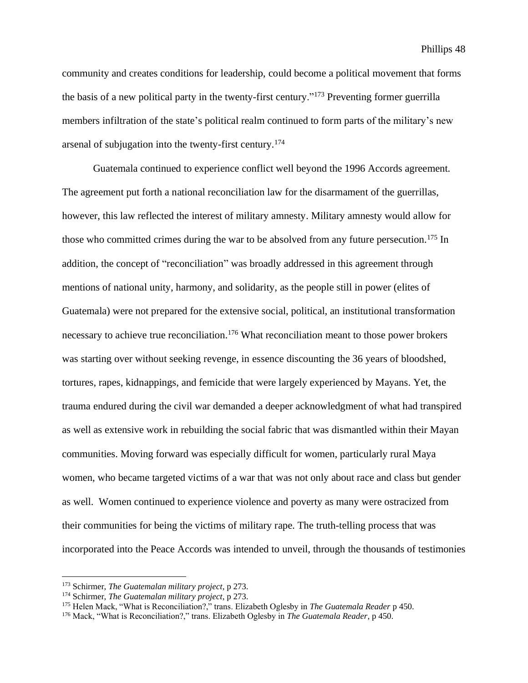community and creates conditions for leadership, could become a political movement that forms the basis of a new political party in the twenty-first century."<sup>173</sup> Preventing former guerrilla members infiltration of the state's political realm continued to form parts of the military's new arsenal of subjugation into the twenty-first century.<sup>174</sup>

Guatemala continued to experience conflict well beyond the 1996 Accords agreement. The agreement put forth a national reconciliation law for the disarmament of the guerrillas, however, this law reflected the interest of military amnesty. Military amnesty would allow for those who committed crimes during the war to be absolved from any future persecution.<sup>175</sup> In addition, the concept of "reconciliation" was broadly addressed in this agreement through mentions of national unity, harmony, and solidarity, as the people still in power (elites of Guatemala) were not prepared for the extensive social, political, an institutional transformation necessary to achieve true reconciliation.<sup>176</sup> What reconciliation meant to those power brokers was starting over without seeking revenge, in essence discounting the 36 years of bloodshed, tortures, rapes, kidnappings, and femicide that were largely experienced by Mayans. Yet, the trauma endured during the civil war demanded a deeper acknowledgment of what had transpired as well as extensive work in rebuilding the social fabric that was dismantled within their Mayan communities. Moving forward was especially difficult for women, particularly rural Maya women, who became targeted victims of a war that was not only about race and class but gender as well. Women continued to experience violence and poverty as many were ostracized from their communities for being the victims of military rape. The truth-telling process that was incorporated into the Peace Accords was intended to unveil, through the thousands of testimonies

<sup>173</sup> Schirmer, *The Guatemalan military project*, p 273.

<sup>174</sup> Schirmer, *The Guatemalan military project*, p 273.

<sup>175</sup> Helen Mack, "What is Reconciliation?," trans. Elizabeth Oglesby in *The Guatemala Reader* p 450.

<sup>176</sup> Mack, "What is Reconciliation?," trans. Elizabeth Oglesby in *The Guatemala Reader,* p 450.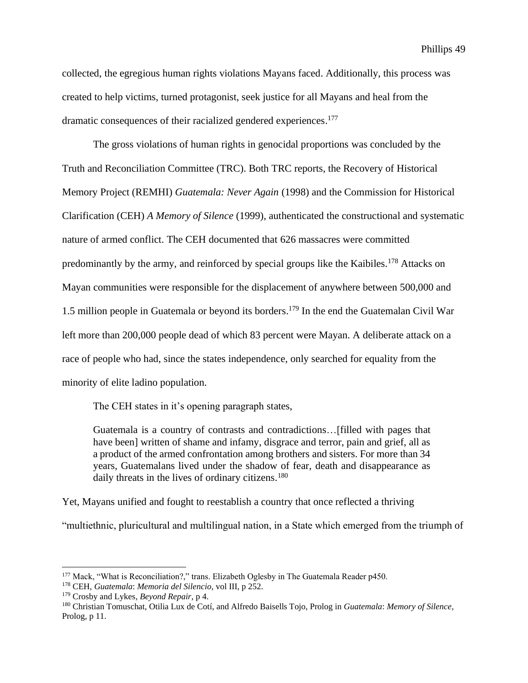collected, the egregious human rights violations Mayans faced. Additionally, this process was created to help victims, turned protagonist, seek justice for all Mayans and heal from the dramatic consequences of their racialized gendered experiences. 177

The gross violations of human rights in genocidal proportions was concluded by the Truth and Reconciliation Committee (TRC). Both TRC reports, the Recovery of Historical Memory Project (REMHI) *Guatemala: Never Again* (1998) and the Commission for Historical Clarification (CEH) *A Memory of Silence* (1999), authenticated the constructional and systematic nature of armed conflict. The CEH documented that 626 massacres were committed predominantly by the army, and reinforced by special groups like the Kaibiles.<sup>178</sup> Attacks on Mayan communities were responsible for the displacement of anywhere between 500,000 and 1.5 million people in Guatemala or beyond its borders. <sup>179</sup> In the end the Guatemalan Civil War left more than 200,000 people dead of which 83 percent were Mayan. A deliberate attack on a race of people who had, since the states independence, only searched for equality from the minority of elite ladino population.

The CEH states in it's opening paragraph states,

Guatemala is a country of contrasts and contradictions…[filled with pages that have been] written of shame and infamy, disgrace and terror, pain and grief, all as a product of the armed confrontation among brothers and sisters. For more than 34 years, Guatemalans lived under the shadow of fear, death and disappearance as daily threats in the lives of ordinary citizens.<sup>180</sup>

Yet, Mayans unified and fought to reestablish a country that once reflected a thriving

"multiethnic, pluricultural and multilingual nation, in a State which emerged from the triumph of

<sup>&</sup>lt;sup>177</sup> Mack, "What is Reconciliation?," trans. Elizabeth Oglesby in The Guatemala Reader p450.

<sup>178</sup> CEH, *Guatemala*: *Memoria del Silencio,* vol III, p 252.

<sup>179</sup> Crosby and Lykes, *Beyond Repair*, p 4.

<sup>180</sup> Christian Tomuschat, Otilia Lux de Cotí, and Alfredo Baisells Tojo, Prolog in *Guatemala*: *Memory of Silence,* Prolog, p 11.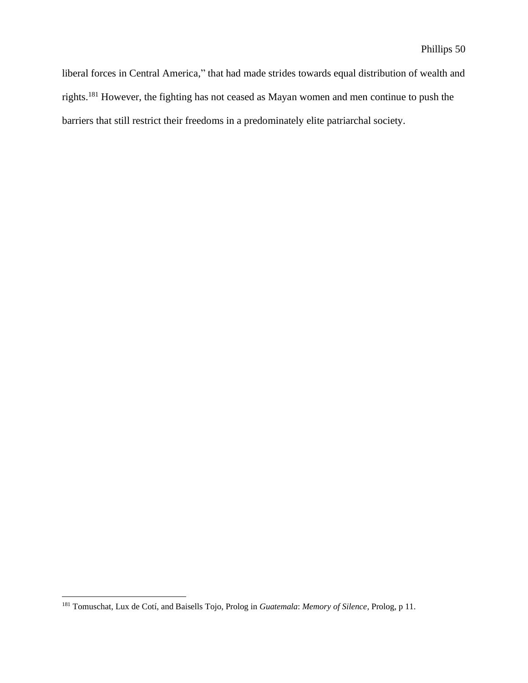liberal forces in Central America," that had made strides towards equal distribution of wealth and rights.<sup>181</sup> However, the fighting has not ceased as Mayan women and men continue to push the barriers that still restrict their freedoms in a predominately elite patriarchal society.

<sup>181</sup> Tomuschat, Lux de Cotí, and Baisells Tojo, Prolog in *Guatemala*: *Memory of Silence,* Prolog, p 11.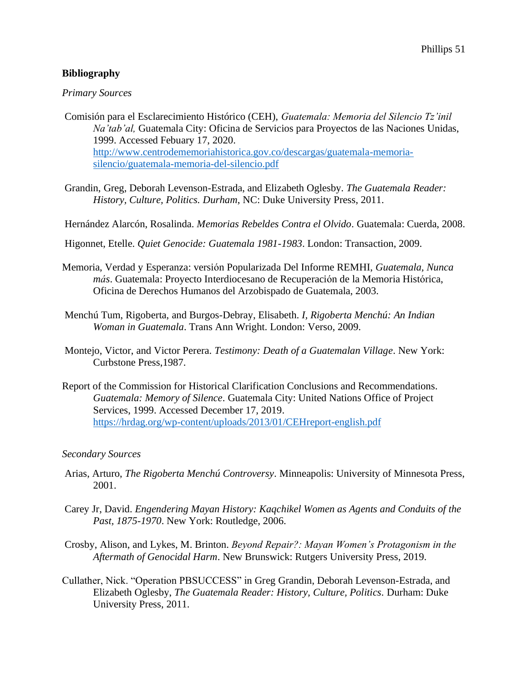## **Bibliography**

## *Primary Sources*

- Comisión para el Esclarecimiento Histórico (CEH), *Guatemala: Memoria del Silencio Tz'inil Na'tab'al,* Guatemala City: Oficina de Servicios para Proyectos de las Naciones Unidas, 1999. Accessed Febuary 17, 2020. [http://www.centrodememoriahistorica.gov.co/descargas/guatemala-memoria](http://www.centrodememoriahistorica.gov.co/descargas/guatemala-memoria-silencio/guatemala-memoria-del-silencio.pdf)[silencio/guatemala-memoria-del-silencio.pdf](http://www.centrodememoriahistorica.gov.co/descargas/guatemala-memoria-silencio/guatemala-memoria-del-silencio.pdf)
- Grandin, Greg, Deborah Levenson-Estrada, and Elizabeth Oglesby. *The Guatemala Reader: History, Culture, Politics. Durham*, NC: Duke University Press, 2011.

Hernández Alarcón, Rosalinda. *Memorias Rebeldes Contra el Olvido*. Guatemala: Cuerda, 2008.

Higonnet, Etelle. *Quiet Genocide: Guatemala 1981-1983*. London: Transaction, 2009.

- Memoria, Verdad y Esperanza: versión Popularizada Del Informe REMHI, *Guatemala, Nunca más*. Guatemala: Proyecto Interdiocesano de Recuperación de la Memoria Histórica, Oficina de Derechos Humanos del Arzobispado de Guatemala, 2003.
- Menchú Tum, Rigoberta, and Burgos-Debray, Elisabeth. *I, Rigoberta Menchú: An Indian Woman in Guatemala*. Trans Ann Wright. London: Verso, 2009.
- Montejo, Victor, and Victor Perera. *Testimony: Death of a Guatemalan Village*. New York: Curbstone Press,1987.
- Report of the Commission for Historical Clarification Conclusions and Recommendations. *Guatemala: Memory of Silence*. Guatemala City: United Nations Office of Project Services, 1999. Accessed December 17, 2019. <https://hrdag.org/wp-content/uploads/2013/01/CEHreport-english.pdf>

## *Secondary Sources*

- Arias, Arturo, *The Rigoberta Menchú Controversy*. Minneapolis: University of Minnesota Press, 2001.
- Carey Jr, David. *Engendering Mayan History: Kaqchikel Women as Agents and Conduits of the Past, 1875-1970*. New York: Routledge, 2006.
- Crosby, Alison, and Lykes, M. Brinton. *Beyond Repair?: Mayan Women's Protagonism in the Aftermath of Genocidal Harm*. New Brunswick: Rutgers University Press, 2019.
- Cullather, Nick. "Operation PBSUCCESS" in Greg Grandin, Deborah Levenson-Estrada, and Elizabeth Oglesby, *The Guatemala Reader: History, Culture, Politics.* Durham: Duke University Press, 2011.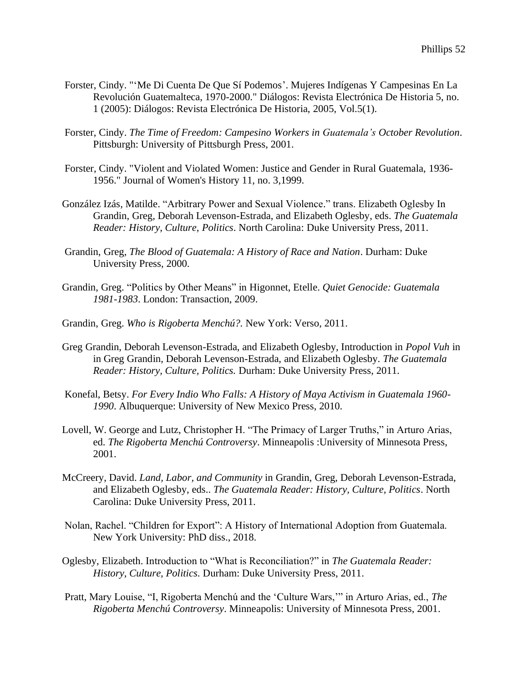- Forster, Cindy. "'Me Di Cuenta De Que Sí Podemos'. Mujeres Indígenas Y Campesinas En La Revolución Guatemalteca, 1970-2000." Diálogos: Revista Electrónica De Historia 5, no. 1 (2005): Diálogos: Revista Electrónica De Historia, 2005, Vol.5(1).
- Forster, Cindy. *The Time of Freedom: Campesino Workers in Guatemala's October Revolution*. Pittsburgh: University of Pittsburgh Press, 2001.
- Forster, Cindy. "Violent and Violated Women: Justice and Gender in Rural Guatemala, 1936- 1956." Journal of Women's History 11, no. 3,1999.
- González Izás, Matilde. "Arbitrary Power and Sexual Violence." trans. Elizabeth Oglesby In Grandin, Greg, Deborah Levenson-Estrada, and Elizabeth Oglesby, eds. *The Guatemala Reader: History, Culture, Politics*. North Carolina: Duke University Press, 2011.
- Grandin, Greg, *The Blood of Guatemala: A History of Race and Nation*. Durham: Duke University Press, 2000.
- Grandin, Greg. "Politics by Other Means" in Higonnet, Etelle. *Quiet Genocide: Guatemala 1981-1983*. London: Transaction, 2009.
- Grandin, Greg. *Who is Rigoberta Menchú?.* New York: Verso, 2011.
- Greg Grandin, Deborah Levenson-Estrada, and Elizabeth Oglesby, Introduction in *Popol Vuh* in in Greg Grandin, Deborah Levenson-Estrada, and Elizabeth Oglesby. *The Guatemala Reader: History, Culture, Politics.* Durham: Duke University Press, 2011.
- Konefal, Betsy. *For Every Indio Who Falls: A History of Maya Activism in Guatemala 1960- 1990*. Albuquerque: University of New Mexico Press, 2010.
- Lovell, W. George and Lutz, Christopher H. "The Primacy of Larger Truths," in Arturo Arias, ed. *The Rigoberta Menchú Controversy*. Minneapolis :University of Minnesota Press, 2001.
- McCreery, David. *Land, Labor, and Community* in Grandin, Greg, Deborah Levenson-Estrada, and Elizabeth Oglesby, eds.. *The Guatemala Reader: History, Culture, Politics*. North Carolina: Duke University Press, 2011.
- Nolan, Rachel. "Children for Export": A History of International Adoption from Guatemala. New York University: PhD diss., 2018.
- Oglesby, Elizabeth. Introduction to "What is Reconciliation?" in *The Guatemala Reader: History, Culture, Politics.* Durham: Duke University Press, 2011.
- Pratt, Mary Louise, "I, Rigoberta Menchú and the 'Culture Wars,'" in Arturo Arias, ed., *The Rigoberta Menchú Controversy*. Minneapolis: University of Minnesota Press, 2001.